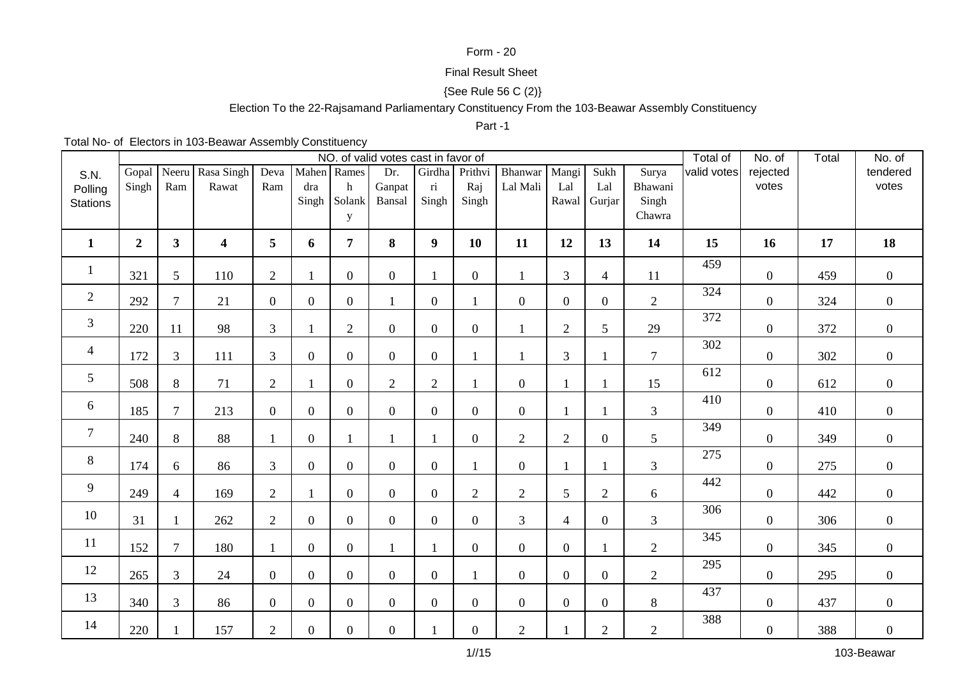## Form - 20

# Final Result Sheet

# {See Rule 56 C (2)}

# Election To the 22-Rajsamand Parliamentary Constituency From the 103-Beawar Assembly Constituency

#### Part -1

Total No- of Electors in 103-Beawar Assembly Constituency

|                 |                  |                |                  |                  |                |                | NO. of valid votes cast in favor of |                         |                  |                  |                  |                  |                | Total of    | No. of           | Total | No. of         |
|-----------------|------------------|----------------|------------------|------------------|----------------|----------------|-------------------------------------|-------------------------|------------------|------------------|------------------|------------------|----------------|-------------|------------------|-------|----------------|
| S.N.            | Gopal            | Neeru          | Rasa Singh       | Deva             | Mahen Rames    |                | Dr.                                 | Girdha                  | Prithvi          | Bhanwar          | Mangi            | Sukh             | Surya          | valid votes | rejected         |       | tendered       |
| Polling         | Singh            | Ram            | Rawat            | Ram              | dra            | $\mathbf{h}$   | Ganpat                              | $\overline{\textbf{n}}$ | Raj              | Lal Mali         | Lal              | Lal              | Bhawani        |             | votes            |       | votes          |
| <b>Stations</b> |                  |                |                  |                  | Singh          | Solank         | Bansal                              | Singh                   | Singh            |                  | Rawal            | Gurjar           | Singh          |             |                  |       |                |
|                 |                  |                |                  |                  |                | y              |                                     |                         |                  |                  |                  |                  | Chawra         |             |                  |       |                |
| $\mathbf{1}$    | $\boldsymbol{2}$ | 3 <sup>1</sup> | $\boldsymbol{4}$ | 5                | 6              | $\overline{7}$ | 8                                   | $\boldsymbol{9}$        | 10               | 11               | 12               | 13               | 14             | 15          | 16               | 17    | 18             |
| $\mathbf{1}$    | 321              | 5              | 110              | $\mathbf{2}$     |                | $\overline{0}$ | $\overline{0}$                      | $\mathbf{1}$            | $\boldsymbol{0}$ | $\mathbf{1}$     | 3                | $\overline{4}$   | 11             | 459         | $\boldsymbol{0}$ | 459   | $\overline{0}$ |
| $\mathfrak{2}$  | 292              | $\overline{7}$ | 21               | $\boldsymbol{0}$ | $\overline{0}$ | $\overline{0}$ |                                     | $\boldsymbol{0}$        | $\mathbf{1}$     | $\boldsymbol{0}$ | $\overline{0}$   | $\overline{0}$   | $\mathbf{2}$   | 324         | $\boldsymbol{0}$ | 324   | $\overline{0}$ |
| $\mathfrak{Z}$  | 220              | 11             | 98               | 3                |                | $\overline{2}$ | $\overline{0}$                      | $\boldsymbol{0}$        | $\overline{0}$   | $\mathbf{1}$     | $\overline{2}$   | 5                | 29             | 372         | $\boldsymbol{0}$ | 372   | $\overline{0}$ |
| $\overline{4}$  | 172              | $\overline{3}$ | 111              | 3                | $\overline{0}$ | $\overline{0}$ | $\overline{0}$                      | $\boldsymbol{0}$        |                  | 1                | 3                | $\mathbf{1}$     | $\overline{7}$ | 302         | $\overline{0}$   | 302   | $\overline{0}$ |
| $5\overline{)}$ | 508              | 8              | 71               | $\mathbf{2}$     |                | $\overline{0}$ | $\overline{2}$                      | $\overline{2}$          |                  | $\overline{0}$   | 1                | 1                | 15             | 612         | $\boldsymbol{0}$ | 612   | $\overline{0}$ |
| 6               | 185              | $\overline{7}$ | 213              | $\boldsymbol{0}$ | $\overline{0}$ | $\overline{0}$ | $\overline{0}$                      | $\boldsymbol{0}$        | $\boldsymbol{0}$ | $\boldsymbol{0}$ | 1                | -1               | $\mathfrak{Z}$ | 410         | $\overline{0}$   | 410   | $\overline{0}$ |
| $\overline{7}$  | 240              | 8              | 88               | $\mathbf{1}$     | $\overline{0}$ |                | $\mathbf{1}$                        | $\mathbf{1}$            | $\overline{0}$   | $\overline{2}$   | $\overline{2}$   | $\overline{0}$   | 5              | 349         | $\overline{0}$   | 349   | $\overline{0}$ |
| $\, 8$          | 174              | 6              | 86               | 3                | $\overline{0}$ | $\overline{0}$ | $\overline{0}$                      | $\boldsymbol{0}$        |                  | $\overline{0}$   |                  | $\mathbf{1}$     | 3              | 275         | $\overline{0}$   | 275   | $\overline{0}$ |
| 9               | 249              | $\overline{4}$ | 169              | $\overline{2}$   |                | $\overline{0}$ | $\mathbf{0}$                        | $\boldsymbol{0}$        | $\overline{2}$   | $\overline{2}$   | 5                | $\overline{2}$   | 6              | 442         | $\overline{0}$   | 442   | $\overline{0}$ |
| 10              | 31               | $\mathbf{1}$   | 262              | $\mathbf{2}$     | $\overline{0}$ | $\overline{0}$ | $\overline{0}$                      | $\boldsymbol{0}$        | $\boldsymbol{0}$ | 3                | 4                | $\overline{0}$   | 3              | 306         | $\overline{0}$   | 306   | $\overline{0}$ |
| 11              | 152              | $\overline{7}$ | 180              | $\mathbf{1}$     | $\Omega$       | $\overline{0}$ |                                     |                         | $\boldsymbol{0}$ | $\overline{0}$   | $\Omega$         | $\mathbf{1}$     | $\overline{2}$ | 345         | $\overline{0}$   | 345   | $\overline{0}$ |
| 12              | 265              | $\overline{3}$ | 24               | $\boldsymbol{0}$ | $\overline{0}$ | $\overline{0}$ | $\overline{0}$                      | $\boldsymbol{0}$        | $\mathbf{1}$     | $\overline{0}$   | $\overline{0}$   | $\overline{0}$   | $\overline{2}$ | 295         | $\overline{0}$   | 295   | $\overline{0}$ |
| 13              | 340              | $\overline{3}$ | 86               | $\boldsymbol{0}$ | $\overline{0}$ | $\overline{0}$ | $\overline{0}$                      | $\boldsymbol{0}$        | $\boldsymbol{0}$ | $\overline{0}$   | $\boldsymbol{0}$ | $\boldsymbol{0}$ | $8\,$          | 437         | $\boldsymbol{0}$ | 437   | $\mathbf{0}$   |
| 14              | 220              | $\mathbf{1}$   | 157              | $\overline{2}$   | $\overline{0}$ | $\overline{0}$ | $\overline{0}$                      | $\mathbf{1}$            | $\boldsymbol{0}$ | $\overline{2}$   |                  | $\overline{2}$   | $\mathbf{2}$   | 388         | $\overline{0}$   | 388   | $\mathbf{0}$   |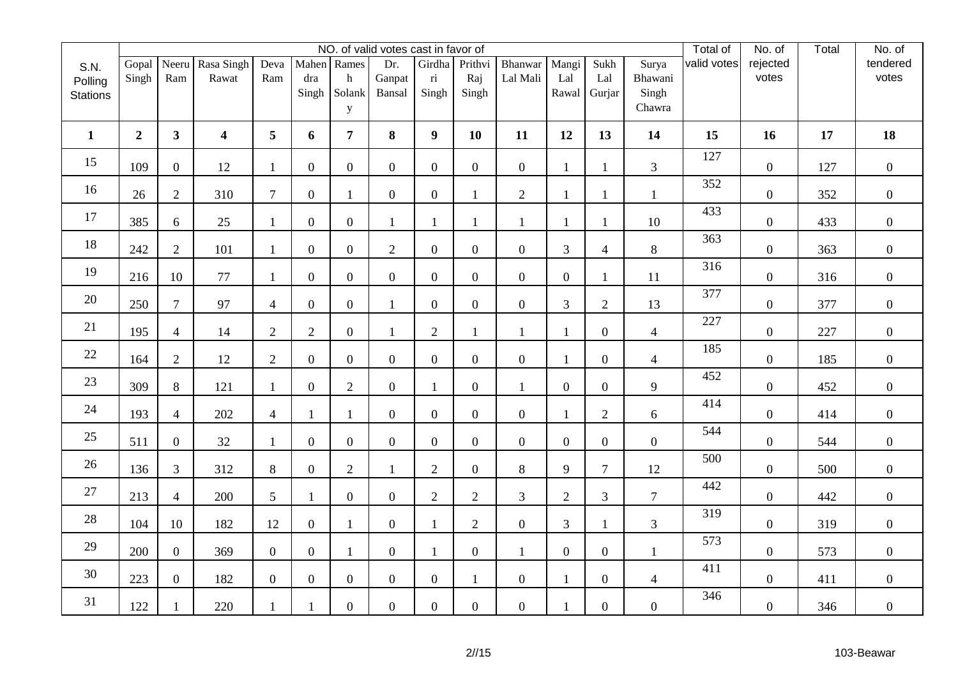|                                    |                |                |                           |                  |                  |                                 | NO. of valid votes cast in favor of |                                            |                         |                     |                       |                       |                                     | Total of    | No. of            | Total | No. of            |
|------------------------------------|----------------|----------------|---------------------------|------------------|------------------|---------------------------------|-------------------------------------|--------------------------------------------|-------------------------|---------------------|-----------------------|-----------------------|-------------------------------------|-------------|-------------------|-------|-------------------|
| S.N.<br>Polling<br><b>Stations</b> | Gopal<br>Singh | Ram            | Neeru Rasa Singh<br>Rawat | Deva<br>Ram      | dra<br>Singh     | Mahen Rames<br>h<br>Solank<br>y | Dr.<br>Ganpat<br>Bansal             | Girdha<br>$\overline{\textbf{n}}$<br>Singh | Prithvi<br>Raj<br>Singh | Bhanwar<br>Lal Mali | Mangi<br>Lal<br>Rawal | Sukh<br>Lal<br>Gurjar | Surya<br>Bhawani<br>Singh<br>Chawra | valid votes | rejected<br>votes |       | tendered<br>votes |
| $\mathbf{1}$                       | $\overline{2}$ | 3 <sup>1</sup> | $\overline{\mathbf{4}}$   | 5                | 6                | 7 <sup>1</sup>                  | 8                                   | $\boldsymbol{9}$                           | 10                      | 11                  | 12                    | 13                    | 14                                  | 15          | 16                | 17    | 18                |
| 15                                 | 109            | $\overline{0}$ | 12                        | 1                | $\overline{0}$   | $\overline{0}$                  | $\overline{0}$                      | $\mathbf{0}$                               | $\overline{0}$          | $\overline{0}$      | $\mathbf{1}$          | $\mathbf{1}$          | $\mathfrak{Z}$                      | 127         | $\overline{0}$    | 127   | $\overline{0}$    |
| 16                                 | 26             | $\overline{2}$ | 310                       | $\tau$           | $\overline{0}$   | $\mathbf{1}$                    | $\mathbf{0}$                        | $\overline{0}$                             | $\mathbf{1}$            | $\mathbf{2}$        | $\mathbf{1}$          | 1                     | $\mathbf{1}$                        | 352         | $\boldsymbol{0}$  | 352   | $\overline{0}$    |
| 17                                 | 385            | 6              | 25                        | $\mathbf{1}$     | $\boldsymbol{0}$ | $\overline{0}$                  | $\mathbf{1}$                        | $\mathbf{1}$                               | $\mathbf{1}$            | $\mathbf{1}$        | $\mathbf{1}$          | $\mathbf{1}$          | 10                                  | 433         | $\boldsymbol{0}$  | 433   | $\overline{0}$    |
| 18                                 | 242            | $\overline{2}$ | 101                       | $\mathbf{1}$     | $\boldsymbol{0}$ | $\overline{0}$                  | $\overline{2}$                      | $\boldsymbol{0}$                           | $\overline{0}$          | $\boldsymbol{0}$    | 3                     | $\overline{4}$        | 8                                   | 363         | $\overline{0}$    | 363   | $\boldsymbol{0}$  |
| 19                                 | 216            | 10             | 77                        | $\mathbf{1}$     | $\overline{0}$   | $\overline{0}$                  | $\overline{0}$                      | $\boldsymbol{0}$                           | $\overline{0}$          | $\boldsymbol{0}$    | $\overline{0}$        | $\mathbf{1}$          | 11                                  | 316         | $\boldsymbol{0}$  | 316   | $\mathbf{0}$      |
| 20                                 | 250            | $\tau$         | 97                        | $\overline{4}$   | $\boldsymbol{0}$ | $\overline{0}$                  | $\mathbf{1}$                        | $\boldsymbol{0}$                           | $\boldsymbol{0}$        | $\boldsymbol{0}$    | 3                     | $\overline{2}$        | 13                                  | 377         | $\boldsymbol{0}$  | 377   | $\mathbf{0}$      |
| 21                                 | 195            | $\overline{4}$ | 14                        | $\overline{2}$   | $\overline{2}$   | $\overline{0}$                  | $\mathbf{1}$                        | $\overline{2}$                             | $\mathbf{1}$            | $\mathbf{1}$        | $\mathbf{1}$          | $\overline{0}$        | $\overline{4}$                      | 227         | $\overline{0}$    | 227   | $\boldsymbol{0}$  |
| 22                                 | 164            | $\overline{2}$ | 12                        | $\overline{2}$   | $\boldsymbol{0}$ | $\overline{0}$                  | $\overline{0}$                      | $\overline{0}$                             | $\overline{0}$          | $\overline{0}$      | $\mathbf{1}$          | $\overline{0}$        | $\overline{4}$                      | 185         | $\boldsymbol{0}$  | 185   | $\boldsymbol{0}$  |
| 23                                 | 309            | $8\,$          | 121                       | $\mathbf{1}$     | $\boldsymbol{0}$ | $\overline{2}$                  | $\overline{0}$                      | $\mathbf{1}$                               | $\boldsymbol{0}$        | $\mathbf{1}$        | $\mathbf{0}$          | $\overline{0}$        | 9                                   | 452         | $\boldsymbol{0}$  | 452   | $\boldsymbol{0}$  |
| 24                                 | 193            | $\overline{4}$ | 202                       | $\overline{4}$   | $\mathbf{1}$     | $\mathbf{1}$                    | $\overline{0}$                      | $\overline{0}$                             | $\overline{0}$          | $\mathbf{0}$        | $\mathbf{1}$          | $\overline{2}$        | 6                                   | 414         | $\overline{0}$    | 414   | $\overline{0}$    |
| 25                                 | 511            | $\overline{0}$ | 32                        | $\mathbf{1}$     | $\overline{0}$   | $\overline{0}$                  | $\boldsymbol{0}$                    | $\overline{0}$                             | $\overline{0}$          | $\boldsymbol{0}$    | $\mathbf{0}$          | $\overline{0}$        | $\overline{0}$                      | 544         | $\overline{0}$    | 544   | $\boldsymbol{0}$  |
| 26                                 | 136            | $\mathfrak{Z}$ | 312                       | 8                | $\overline{0}$   | $\overline{2}$                  | $\mathbf{1}$                        | $\overline{2}$                             | $\overline{0}$          | 8                   | 9                     | $\overline{7}$        | 12                                  | 500         | $\overline{0}$    | 500   | $\overline{0}$    |
| 27                                 | 213            | $\overline{4}$ | 200                       | 5                | $\mathbf{1}$     | $\overline{0}$                  | $\boldsymbol{0}$                    | $\mathbf{2}$                               | $\overline{2}$          | 3                   | $\sqrt{2}$            | $\overline{3}$        | $\tau$                              | 442         | $\boldsymbol{0}$  | 442   | $\mathbf{0}$      |
| 28                                 | 104            | 10             | 182                       | 12               | $\overline{0}$   | $\mathbf{1}$                    | $\overline{0}$                      | $\mathbf{1}$                               | $\overline{2}$          | $\overline{0}$      | 3                     | $\mathbf{1}$          | $\mathfrak{Z}$                      | 319         | $\boldsymbol{0}$  | 319   | $\overline{0}$    |
| 29                                 | 200            | $\overline{0}$ | 369                       | $\boldsymbol{0}$ | $\boldsymbol{0}$ | 1                               | $\boldsymbol{0}$                    | $\mathbf{1}$                               | $\boldsymbol{0}$        | 1                   | $\mathbf{0}$          | $\overline{0}$        | $\mathbf{1}$                        | 573         | $\overline{0}$    | 573   | $\boldsymbol{0}$  |
| 30                                 | 223            | $\overline{0}$ | 182                       | $\boldsymbol{0}$ | $\boldsymbol{0}$ | $\overline{0}$                  | $\overline{0}$                      | $\boldsymbol{0}$                           | $\mathbf{1}$            | $\boldsymbol{0}$    | $\mathbf{1}$          | $\overline{0}$        | $\overline{4}$                      | 411         | $\boldsymbol{0}$  | 411   | $\overline{0}$    |
| 31                                 | 122            |                | 220                       | $\mathbf{1}$     |                  | $\overline{0}$                  | $\boldsymbol{0}$                    | $\boldsymbol{0}$                           | $\boldsymbol{0}$        | $\boldsymbol{0}$    |                       | $\boldsymbol{0}$      | $\boldsymbol{0}$                    | 346         | $\boldsymbol{0}$  | 346   | $\boldsymbol{0}$  |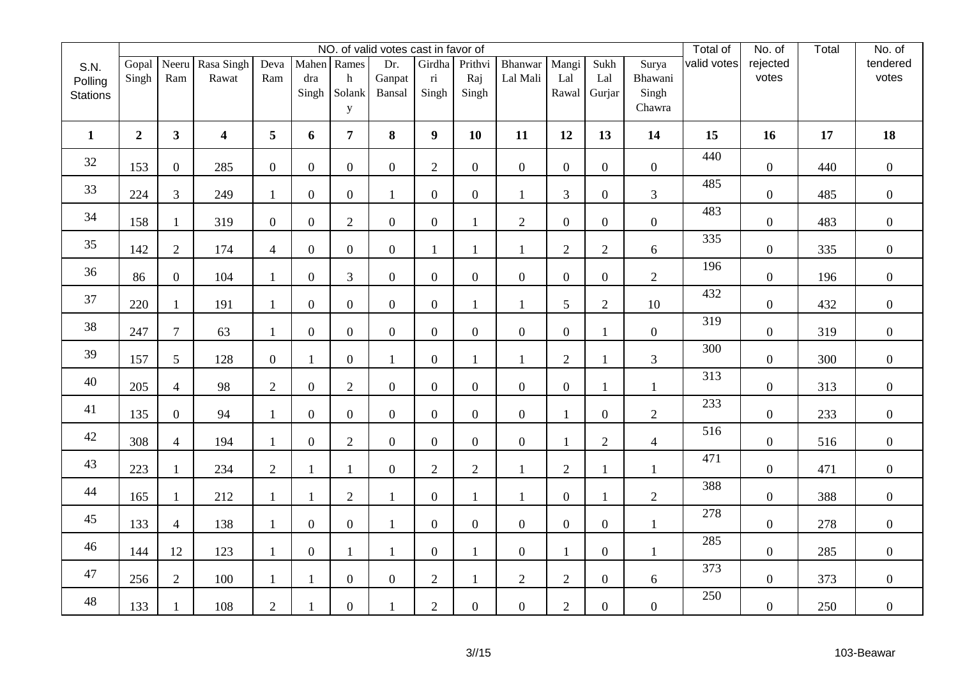|                 |                |                 |                     |                  |                  |                  | NO. of valid votes cast in favor of |                                   |                  |                     |                  |                  |                  | Total of    | No. of            | Total | No. of            |
|-----------------|----------------|-----------------|---------------------|------------------|------------------|------------------|-------------------------------------|-----------------------------------|------------------|---------------------|------------------|------------------|------------------|-------------|-------------------|-------|-------------------|
| S.N.<br>Polling | Gopal<br>Singh | Neeru<br>Ram    | Rasa Singh<br>Rawat | Deva<br>Ram      | dra              | Mahen Rames<br>h | Dr.<br>Ganpat                       | Girdha<br>$\overline{\textbf{n}}$ | Prithvi<br>Raj   | Bhanwar<br>Lal Mali | Mangi<br>Lal     | Sukh<br>Lal      | Surya<br>Bhawani | valid votes | rejected<br>votes |       | tendered<br>votes |
| <b>Stations</b> |                |                 |                     |                  | Singh            | Solank<br>y      | Bansal                              | Singh                             | Singh            |                     | Rawal            | Gurjar           | Singh<br>Chawra  |             |                   |       |                   |
| $\mathbf{1}$    | $\overline{2}$ | 3 <sup>1</sup>  | $\boldsymbol{4}$    | 5                | 6                | 7 <sup>1</sup>   | 8                                   | 9                                 | 10               | 11                  | 12               | 13               | 14               | 15          | 16                | 17    | 18                |
| 32              | 153            | $\overline{0}$  | 285                 | $\mathbf{0}$     | $\overline{0}$   | $\overline{0}$   | $\overline{0}$                      | $\overline{2}$                    | $\overline{0}$   | $\overline{0}$      | $\overline{0}$   | $\overline{0}$   | $\overline{0}$   | 440         | $\overline{0}$    | 440   | $\overline{0}$    |
| 33              | 224            | $\mathfrak{Z}$  | 249                 | $\mathbf{1}$     | $\overline{0}$   | $\overline{0}$   | $\mathbf{1}$                        | $\overline{0}$                    | $\overline{0}$   | $\mathbf{1}$        | 3                | $\overline{0}$   | 3                | 485         | $\overline{0}$    | 485   | $\boldsymbol{0}$  |
| 34              | 158            | 1               | 319                 | $\boldsymbol{0}$ | $\overline{0}$   | $\overline{2}$   | $\boldsymbol{0}$                    | $\overline{0}$                    | $\mathbf{1}$     | $\overline{2}$      | $\overline{0}$   | $\overline{0}$   | $\overline{0}$   | 483         | $\boldsymbol{0}$  | 483   | $\overline{0}$    |
| 35              | 142            | $\mathbf{2}$    | 174                 | $\overline{4}$   | $\boldsymbol{0}$ | $\overline{0}$   | $\boldsymbol{0}$                    | $\mathbf{1}$                      | $\mathbf{1}$     | $\mathbf{1}$        | $\overline{2}$   | $\overline{2}$   | 6                | 335         | $\overline{0}$    | 335   | $\overline{0}$    |
| 36              | 86             | $\overline{0}$  | 104                 | $\mathbf{1}$     | $\overline{0}$   | $\overline{3}$   | $\boldsymbol{0}$                    | $\boldsymbol{0}$                  | $\boldsymbol{0}$ | $\boldsymbol{0}$    | $\overline{0}$   | $\overline{0}$   | $\overline{2}$   | 196         | $\boldsymbol{0}$  | 196   | $\overline{0}$    |
| 37              | 220            | 1               | 191                 | 1                | $\boldsymbol{0}$ | $\overline{0}$   | $\boldsymbol{0}$                    | $\boldsymbol{0}$                  | 1                | 1                   | 5                | $\overline{2}$   | 10               | 432         | $\overline{0}$    | 432   | $\boldsymbol{0}$  |
| 38              | 247            | $\overline{7}$  | 63                  | $\mathbf{1}$     | $\overline{0}$   | $\overline{0}$   | $\mathbf{0}$                        | $\overline{0}$                    | $\overline{0}$   | $\mathbf{0}$        | $\overline{0}$   | 1                | $\overline{0}$   | 319         | $\overline{0}$    | 319   | $\boldsymbol{0}$  |
| 39              | 157            | $5\overline{)}$ | 128                 | $\boldsymbol{0}$ | $\mathbf{1}$     | $\overline{0}$   | $\mathbf{1}$                        | $\boldsymbol{0}$                  | $\mathbf{1}$     | $\mathbf{1}$        | $\sqrt{2}$       | 1                | 3                | 300         | $\boldsymbol{0}$  | 300   | $\boldsymbol{0}$  |
| 40              | 205            | $\overline{4}$  | 98                  | $\overline{2}$   | $\boldsymbol{0}$ | $\overline{2}$   | $\overline{0}$                      | $\overline{0}$                    | $\boldsymbol{0}$ | $\boldsymbol{0}$    | $\overline{0}$   | 1                | $\mathbf{1}$     | 313         | $\boldsymbol{0}$  | 313   | $\overline{0}$    |
| 41              | 135            | $\overline{0}$  | 94                  | 1                | $\overline{0}$   | $\overline{0}$   | $\overline{0}$                      | $\overline{0}$                    | $\overline{0}$   | $\boldsymbol{0}$    | $\mathbf{1}$     | $\overline{0}$   | $\overline{2}$   | 233         | $\overline{0}$    | 233   | $\boldsymbol{0}$  |
| 42              | 308            | $\overline{4}$  | 194                 | $\mathbf{1}$     | $\overline{0}$   | $\overline{2}$   | $\boldsymbol{0}$                    | $\boldsymbol{0}$                  | $\overline{0}$   | $\boldsymbol{0}$    | $\mathbf{1}$     | $\overline{2}$   | $\overline{4}$   | 516         | $\overline{0}$    | 516   | $\boldsymbol{0}$  |
| 43              | 223            | $\mathbf{1}$    | 234                 | $\overline{2}$   | $\mathbf{1}$     | $\mathbf{1}$     | $\boldsymbol{0}$                    | $\overline{2}$                    | $\overline{2}$   | $\mathbf{1}$        | $\overline{2}$   | 1                | $\mathbf{1}$     | 471         | $\boldsymbol{0}$  | 471   | $\overline{0}$    |
| 44              | 165            | $\mathbf{1}$    | 212                 | $\mathbf{1}$     | $\mathbf{1}$     | $\mathbf{2}$     | $\mathbf{1}$                        | $\boldsymbol{0}$                  | $\mathbf{1}$     | $\mathbf{1}$        | $\boldsymbol{0}$ | $\mathbf{1}$     | $\overline{2}$   | 388         | $\boldsymbol{0}$  | 388   | $\mathbf{0}$      |
| 45              | 133            | $\overline{4}$  | 138                 | $\mathbf{1}$     | $\boldsymbol{0}$ | $\overline{0}$   | $\mathbf{1}$                        | $\overline{0}$                    | $\overline{0}$   | $\boldsymbol{0}$    | $\overline{0}$   | $\overline{0}$   | $\mathbf{1}$     | 278         | $\overline{0}$    | 278   | $\boldsymbol{0}$  |
| 46              | 144            | 12              | 123                 | 1                | $\boldsymbol{0}$ | 1                | $\mathbf{1}$                        | $\mathbf{0}$                      | 1                | $\mathbf{0}$        | $\mathbf{1}$     | $\overline{0}$   | $\mathbf{1}$     | 285         | $\overline{0}$    | 285   | $\boldsymbol{0}$  |
| 47              | 256            | $\overline{2}$  | 100                 | $\mathbf{1}$     | $\mathbf{1}$     | $\boldsymbol{0}$ | $\boldsymbol{0}$                    | $\mathbf{2}$                      | $\mathbf{1}$     | $\mathbf{2}$        | $\sqrt{2}$       | $\boldsymbol{0}$ | 6                | 373         | $\boldsymbol{0}$  | 373   | $\boldsymbol{0}$  |
| 48              | 133            |                 | 108                 | $\mathbf{2}$     |                  | $\overline{0}$   |                                     | $\mathbf{2}$                      | $\boldsymbol{0}$ | $\overline{0}$      | $\overline{2}$   | $\overline{0}$   | $\boldsymbol{0}$ | 250         | $\boldsymbol{0}$  | 250   | $\boldsymbol{0}$  |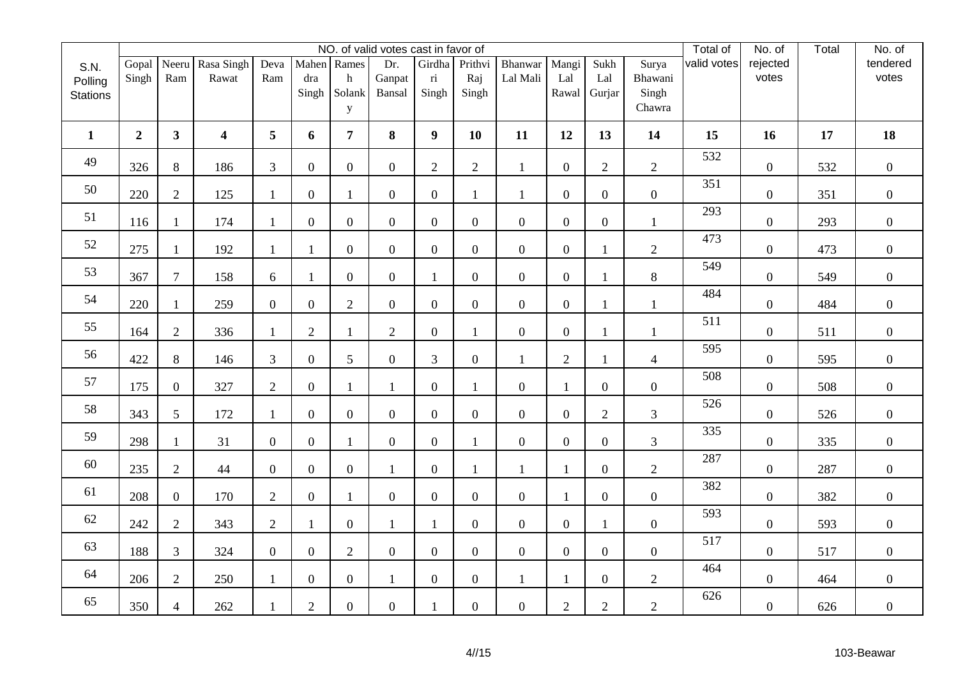|                                    |                  |                |                           |                  |                  |                                 | NO. of valid votes cast in favor of |                                            |                         |                     |                       |                       |                                     | Total of    | No. of            | Total | No. of            |
|------------------------------------|------------------|----------------|---------------------------|------------------|------------------|---------------------------------|-------------------------------------|--------------------------------------------|-------------------------|---------------------|-----------------------|-----------------------|-------------------------------------|-------------|-------------------|-------|-------------------|
| S.N.<br>Polling<br><b>Stations</b> | Gopal<br>Singh   | Ram            | Neeru Rasa Singh<br>Rawat | Deva<br>Ram      | dra<br>Singh     | Mahen Rames<br>h<br>Solank<br>y | Dr.<br>Ganpat<br>Bansal             | Girdha<br>$\overline{\textbf{n}}$<br>Singh | Prithvi<br>Raj<br>Singh | Bhanwar<br>Lal Mali | Mangi<br>Lal<br>Rawal | Sukh<br>Lal<br>Gurjar | Surya<br>Bhawani<br>Singh<br>Chawra | valid votes | rejected<br>votes |       | tendered<br>votes |
| $\mathbf{1}$                       | $\boldsymbol{2}$ | 3 <sup>1</sup> | $\boldsymbol{4}$          | 5                | 6                | $\overline{7}$                  | 8                                   | $\boldsymbol{9}$                           | 10                      | 11                  | 12                    | 13                    | 14                                  | 15          | 16                | 17    | 18                |
| 49                                 | 326              | $8\,$          | 186                       | 3                | $\overline{0}$   | $\overline{0}$                  | $\boldsymbol{0}$                    | $\overline{2}$                             | $\overline{2}$          | $\mathbf{1}$        | $\overline{0}$        | $\overline{2}$        | $\overline{2}$                      | 532         | $\overline{0}$    | 532   | $\overline{0}$    |
| 50                                 | 220              | $\overline{2}$ | 125                       | $\mathbf{1}$     | $\overline{0}$   | 1                               | $\boldsymbol{0}$                    | $\mathbf{0}$                               | $\mathbf{1}$            | $\mathbf{1}$        | $\overline{0}$        | $\overline{0}$        | $\overline{0}$                      | 351         | $\overline{0}$    | 351   | $\overline{0}$    |
| 51                                 | 116              | $\mathbf{1}$   | 174                       | $\mathbf{1}$     | $\overline{0}$   | $\overline{0}$                  | $\boldsymbol{0}$                    | $\overline{0}$                             | $\overline{0}$          | $\overline{0}$      | $\overline{0}$        | $\overline{0}$        | $\mathbf{1}$                        | 293         | $\boldsymbol{0}$  | 293   | $\boldsymbol{0}$  |
| 52                                 | 275              | $\mathbf{1}$   | 192                       | $\mathbf{1}$     | 1                | $\overline{0}$                  | $\boldsymbol{0}$                    | $\boldsymbol{0}$                           | $\boldsymbol{0}$        | $\boldsymbol{0}$    | $\boldsymbol{0}$      | 1                     | $\overline{2}$                      | 473         | $\boldsymbol{0}$  | 473   | $\mathbf{0}$      |
| 53                                 | 367              | $\overline{7}$ | 158                       | 6                | $\mathbf{1}$     | $\overline{0}$                  | $\overline{0}$                      | $\mathbf{1}$                               | $\overline{0}$          | $\overline{0}$      | $\overline{0}$        | 1                     | 8                                   | 549         | $\overline{0}$    | 549   | $\overline{0}$    |
| 54                                 | 220              | 1              | 259                       | $\mathbf{0}$     | $\boldsymbol{0}$ | $\overline{2}$                  | $\boldsymbol{0}$                    | $\boldsymbol{0}$                           | $\overline{0}$          | $\boldsymbol{0}$    | $\overline{0}$        | $\mathbf{1}$          | $\mathbf{1}$                        | 484         | $\overline{0}$    | 484   | $\overline{0}$    |
| 55                                 | 164              | $\mathbf{2}$   | 336                       | $\mathbf{1}$     | $\overline{2}$   | $\mathbf{1}$                    | $\overline{2}$                      | $\overline{0}$                             | $\mathbf{1}$            | $\boldsymbol{0}$    | $\overline{0}$        | 1                     | $\mathbf{1}$                        | 511         | $\overline{0}$    | 511   | $\boldsymbol{0}$  |
| 56                                 | 422              | $8\,$          | 146                       | 3                | $\boldsymbol{0}$ | 5                               | $\boldsymbol{0}$                    | 3                                          | $\boldsymbol{0}$        | $\mathbf{1}$        | $\sqrt{2}$            | 1                     | $\overline{4}$                      | 595         | $\boldsymbol{0}$  | 595   | $\boldsymbol{0}$  |
| 57                                 | 175              | $\overline{0}$ | 327                       | $\overline{2}$   | $\boldsymbol{0}$ | $\mathbf{1}$                    | $\mathbf{1}$                        | $\overline{0}$                             | $\mathbf{1}$            | $\boldsymbol{0}$    | $\mathbf{1}$          | $\overline{0}$        | $\overline{0}$                      | 508         | $\boldsymbol{0}$  | 508   | $\boldsymbol{0}$  |
| 58                                 | 343              | 5              | 172                       | 1                | $\overline{0}$   | $\overline{0}$                  | $\boldsymbol{0}$                    | $\overline{0}$                             | $\overline{0}$          | $\boldsymbol{0}$    | $\overline{0}$        | $\overline{2}$        | 3                                   | 526         | $\boldsymbol{0}$  | 526   | $\boldsymbol{0}$  |
| 59                                 | 298              | 1              | 31                        | $\mathbf{0}$     | $\overline{0}$   | 1                               | $\boldsymbol{0}$                    | $\overline{0}$                             | 1                       | $\boldsymbol{0}$    | $\overline{0}$        | $\overline{0}$        | 3                                   | 335         | $\overline{0}$    | 335   | $\boldsymbol{0}$  |
| 60                                 | 235              | $\overline{2}$ | 44                        | $\boldsymbol{0}$ | $\overline{0}$   | $\overline{0}$                  | $\mathbf{1}$                        | $\overline{0}$                             | $\mathbf{1}$            | $\mathbf{1}$        | $\mathbf{1}$          | $\overline{0}$        | $\overline{2}$                      | 287         | $\overline{0}$    | 287   | $\mathbf{0}$      |
| 61                                 | 208              | $\overline{0}$ | 170                       | $\overline{2}$   | $\boldsymbol{0}$ | $\mathbf{1}$                    | $\boldsymbol{0}$                    | $\boldsymbol{0}$                           | $\overline{0}$          | $\boldsymbol{0}$    | $\mathbf{1}$          | $\overline{0}$        | $\boldsymbol{0}$                    | 382         | $\boldsymbol{0}$  | 382   | $\mathbf{0}$      |
| 62                                 | 242              | $\overline{2}$ | 343                       | $\overline{2}$   | $\mathbf{1}$     | $\overline{0}$                  | $\mathbf{1}$                        | 1                                          | $\overline{0}$          | $\boldsymbol{0}$    | $\overline{0}$        | $\mathbf{1}$          | $\overline{0}$                      | 593         | $\overline{0}$    | 593   | $\boldsymbol{0}$  |
| 63                                 | 188              | $\mathfrak{Z}$ | 324                       | $\overline{0}$   | $\boldsymbol{0}$ | $\overline{2}$                  | $\boldsymbol{0}$                    | $\overline{0}$                             | $\overline{0}$          | $\mathbf{0}$        | $\overline{0}$        | $\overline{0}$        | $\overline{0}$                      | 517         | $\overline{0}$    | 517   | $\boldsymbol{0}$  |
| 64                                 | 206              | $\mathbf{2}$   | 250                       | $\mathbf{1}$     | $\boldsymbol{0}$ | $\overline{0}$                  | $\mathbf{1}$                        | $\boldsymbol{0}$                           | $\boldsymbol{0}$        | $\mathbf{1}$        | $\mathbf{1}$          | $\boldsymbol{0}$      | $\overline{c}$                      | 464         | $\boldsymbol{0}$  | 464   | $\boldsymbol{0}$  |
| 65                                 | 350              | $\overline{4}$ | 262                       |                  | $\overline{2}$   | $\overline{0}$                  | $\boldsymbol{0}$                    | 1                                          | $\boldsymbol{0}$        | $\boldsymbol{0}$    | $\overline{2}$        | $\overline{2}$        | $\overline{2}$                      | 626         | $\boldsymbol{0}$  | 626   | $\boldsymbol{0}$  |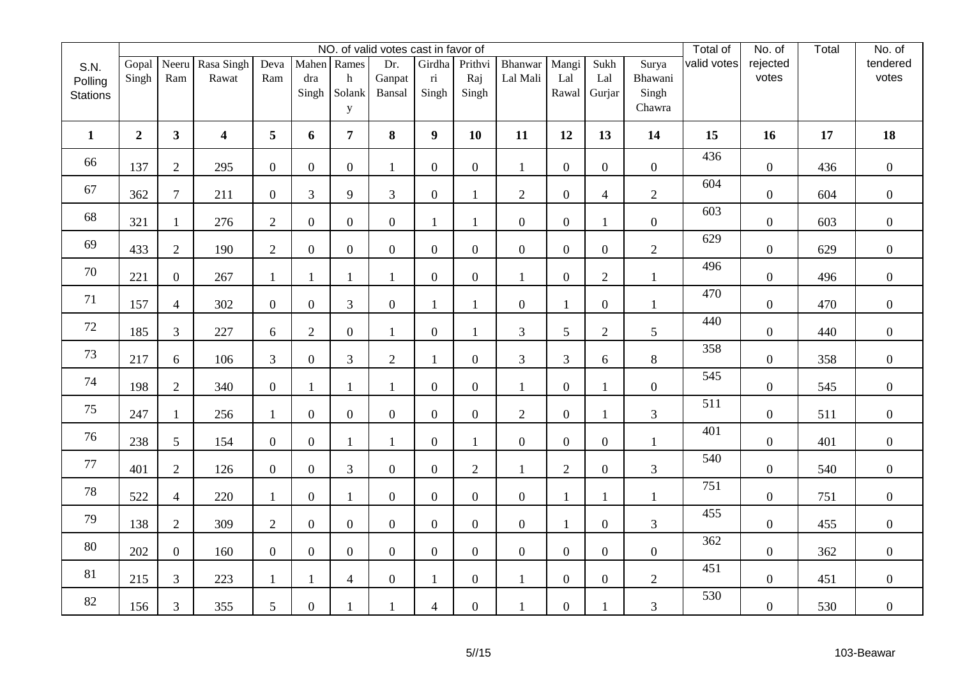|                 |                |                |                         |                  |                    |                | NO. of valid votes cast in favor of |                                   |                  |                     |                |                  |                  | Total of    | No. of            | Total | No. of            |
|-----------------|----------------|----------------|-------------------------|------------------|--------------------|----------------|-------------------------------------|-----------------------------------|------------------|---------------------|----------------|------------------|------------------|-------------|-------------------|-------|-------------------|
| S.N.<br>Polling | Gopal<br>Singh | Neeru<br>Ram   | Rasa Singh<br>Rawat     | Deva<br>Ram      | Mahen Rames<br>dra | h              | Dr.<br>Ganpat                       | Girdha<br>$\overline{\textbf{n}}$ | Prithvi<br>Raj   | Bhanwar<br>Lal Mali | Mangi<br>Lal   | Sukh<br>Lal      | Surya<br>Bhawani | valid votes | rejected<br>votes |       | tendered<br>votes |
| <b>Stations</b> |                |                |                         |                  | Singh              | Solank<br>y    | Bansal                              | Singh                             | Singh            |                     | Rawal          | Gurjar           | Singh<br>Chawra  |             |                   |       |                   |
| $\mathbf{1}$    | $\overline{2}$ | $\mathbf{3}$   | $\overline{\mathbf{4}}$ | 5                | 6                  | $\overline{7}$ | 8                                   | $\boldsymbol{9}$                  | 10               | 11                  | 12             | 13               | 14               | 15          | 16                | 17    | 18                |
| 66              | 137            | $\overline{2}$ | 295                     | $\overline{0}$   | $\overline{0}$     | $\overline{0}$ | $\mathbf{1}$                        | $\overline{0}$                    | $\overline{0}$   | $\mathbf{1}$        | $\overline{0}$ | $\overline{0}$   | $\overline{0}$   | 436         | $\boldsymbol{0}$  | 436   | $\overline{0}$    |
| 67              | 362            | $\overline{7}$ | 211                     | $\overline{0}$   | 3                  | 9              | 3                                   | $\overline{0}$                    | $\mathbf{1}$     | $\overline{2}$      | $\overline{0}$ | $\overline{4}$   | $\overline{2}$   | 604         | $\boldsymbol{0}$  | 604   | $\boldsymbol{0}$  |
| 68              | 321            | $\mathbf{1}$   | 276                     | $\overline{2}$   | $\overline{0}$     | $\overline{0}$ | $\mathbf{0}$                        | $\mathbf{1}$                      | $\mathbf{1}$     | $\overline{0}$      | $\overline{0}$ | $\mathbf{1}$     | $\overline{0}$   | 603         | $\boldsymbol{0}$  | 603   | $\mathbf{0}$      |
| 69              | 433            | $\overline{2}$ | 190                     | $\mathbf{2}$     | $\mathbf{0}$       | $\overline{0}$ | $\boldsymbol{0}$                    | $\boldsymbol{0}$                  | $\overline{0}$   | $\boldsymbol{0}$    | $\overline{0}$ | $\overline{0}$   | $\overline{2}$   | 629         | $\boldsymbol{0}$  | 629   | $\overline{0}$    |
| 70              | 221            | $\overline{0}$ | 267                     | $\mathbf{1}$     | $\mathbf{1}$       | 1              | $\mathbf{1}$                        | $\boldsymbol{0}$                  | $\boldsymbol{0}$ | 1                   | $\overline{0}$ | $\overline{2}$   | $\mathbf{1}$     | 496         | $\boldsymbol{0}$  | 496   | $\overline{0}$    |
| 71              | 157            | $\overline{4}$ | 302                     | $\boldsymbol{0}$ | $\boldsymbol{0}$   | 3              | $\boldsymbol{0}$                    | $\mathbf{1}$                      | 1                | $\boldsymbol{0}$    | -1             | $\overline{0}$   | $\mathbf{1}$     | 470         | $\boldsymbol{0}$  | 470   | $\mathbf{0}$      |
| 72              | 185            | 3              | 227                     | 6                | $\overline{2}$     | $\overline{0}$ | $\mathbf{1}$                        | $\overline{0}$                    | 1                | $\overline{3}$      | 5              | $\overline{2}$   | 5                | 440         | $\overline{0}$    | 440   | $\overline{0}$    |
| $73\,$          | 217            | 6              | 106                     | 3                | $\boldsymbol{0}$   | 3              | $\overline{2}$                      | $\mathbf{1}$                      | $\overline{0}$   | 3                   | 3              | 6                | 8                | 358         | $\boldsymbol{0}$  | 358   | $\mathbf{0}$      |
| 74              | 198            | $\overline{2}$ | 340                     | $\mathbf{0}$     | $\mathbf{1}$       | $\mathbf{1}$   | $\mathbf{1}$                        | $\overline{0}$                    | $\boldsymbol{0}$ |                     | $\overline{0}$ | 1                | $\overline{0}$   | 545         | $\mathbf{0}$      | 545   | $\mathbf{0}$      |
| 75              | 247            | 1              | 256                     | $\mathbf{1}$     | $\boldsymbol{0}$   | $\overline{0}$ | $\overline{0}$                      | $\overline{0}$                    | $\overline{0}$   | $\overline{2}$      | $\overline{0}$ | 1                | 3                | 511         | $\boldsymbol{0}$  | 511   | $\overline{0}$    |
| 76              | 238            | 5              | 154                     | $\overline{0}$   | $\overline{0}$     | $\mathbf{1}$   | $\mathbf{1}$                        | $\boldsymbol{0}$                  | $\mathbf{1}$     | $\boldsymbol{0}$    | $\mathbf{0}$   | $\overline{0}$   | $\mathbf{1}$     | 401         | $\boldsymbol{0}$  | 401   | $\overline{0}$    |
| 77              | 401            | $\overline{2}$ | 126                     | $\boldsymbol{0}$ | $\boldsymbol{0}$   | $\mathfrak{Z}$ | $\overline{0}$                      | $\boldsymbol{0}$                  | $\overline{2}$   | $\mathbf{1}$        | $\overline{2}$ | $\mathbf{0}$     | 3                | 540         | $\boldsymbol{0}$  | 540   | $\mathbf{0}$      |
| 78              | 522            | $\overline{4}$ | 220                     | $\mathbf{1}$     | $\boldsymbol{0}$   | $\mathbf{1}$   | $\boldsymbol{0}$                    | $\boldsymbol{0}$                  | $\overline{0}$   | $\boldsymbol{0}$    | 1              | $\mathbf{1}$     | $\mathbf{1}$     | 751         | $\boldsymbol{0}$  | 751   | $\mathbf{0}$      |
| 79              | 138            | $\overline{2}$ | 309                     | $\overline{2}$   | $\mathbf{0}$       | $\overline{0}$ | $\overline{0}$                      | $\overline{0}$                    | $\overline{0}$   | $\overline{0}$      | $\mathbf{1}$   | $\overline{0}$   | $\overline{3}$   | 455         | $\boldsymbol{0}$  | 455   | $\overline{0}$    |
| 80              | 202            | $\overline{0}$ | 160                     | $\overline{0}$   | $\overline{0}$     | $\overline{0}$ | $\overline{0}$                      | $\overline{0}$                    | $\overline{0}$   | $\overline{0}$      | $\overline{0}$ | $\overline{0}$   | $\mathbf{0}$     | 362         | $\boldsymbol{0}$  | 362   | $\boldsymbol{0}$  |
| $81\,$          | 215            | 3              | 223                     | $\mathbf{1}$     |                    | $\overline{4}$ | $\boldsymbol{0}$                    | $\mathbf{1}$                      | $\boldsymbol{0}$ | $\mathbf{1}$        | $\overline{0}$ | $\boldsymbol{0}$ | $\overline{c}$   | 451         | $\boldsymbol{0}$  | 451   | $\mathbf{0}$      |
| 82              | 156            | 3              | 355                     | $\mathfrak{S}$   | $\boldsymbol{0}$   |                | $\mathbf{1}$                        | $\overline{4}$                    | $\boldsymbol{0}$ |                     | $\overline{0}$ |                  | 3                | 530         | $\boldsymbol{0}$  | 530   | $\mathbf{0}$      |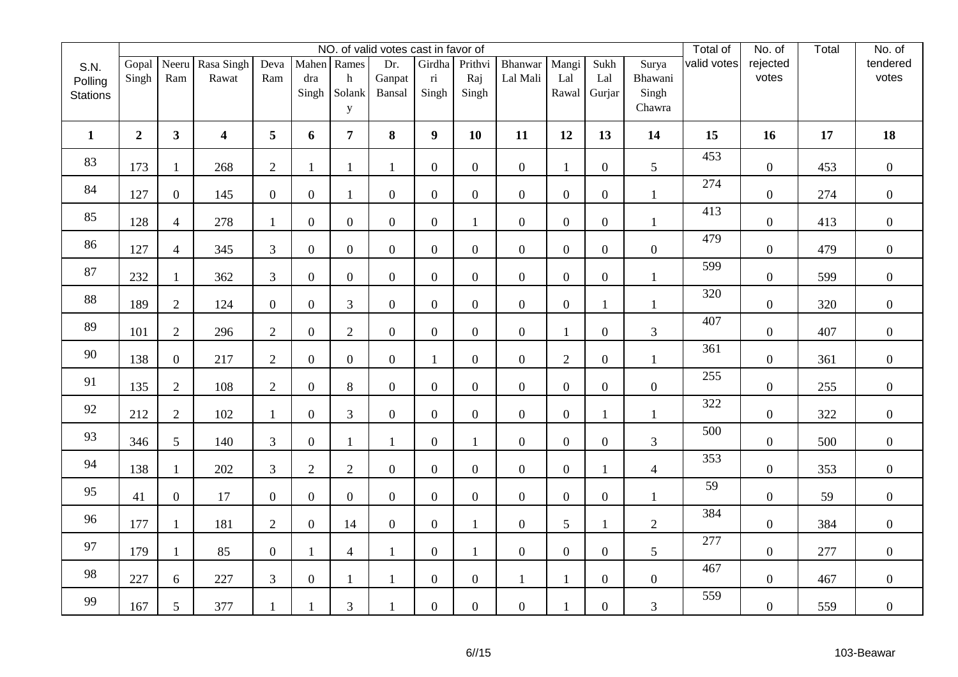|                 |                |                |                     |                  |                  |                  | NO. of valid votes cast in favor of |                                   |                  |                     |                  |                  |                  | Total of    | No. of            | Total | No. of            |
|-----------------|----------------|----------------|---------------------|------------------|------------------|------------------|-------------------------------------|-----------------------------------|------------------|---------------------|------------------|------------------|------------------|-------------|-------------------|-------|-------------------|
| S.N.<br>Polling | Gopal<br>Singh | Neeru<br>Ram   | Rasa Singh<br>Rawat | Deva<br>Ram      | dra              | Mahen Rames<br>h | Dr.<br>Ganpat                       | Girdha<br>$\overline{\textbf{n}}$ | Prithvi<br>Raj   | Bhanwar<br>Lal Mali | Mangi<br>Lal     | Sukh<br>Lal      | Surya<br>Bhawani | valid votes | rejected<br>votes |       | tendered<br>votes |
| <b>Stations</b> |                |                |                     |                  | Singh            | Solank<br>y      | Bansal                              | Singh                             | Singh            |                     | Rawal            | Gurjar           | Singh<br>Chawra  |             |                   |       |                   |
| $\mathbf{1}$    | $\overline{2}$ | 3 <sup>1</sup> | $\boldsymbol{4}$    | 5                | 6                | 7 <sup>1</sup>   | 8                                   | 9                                 | 10               | 11                  | 12               | 13               | 14               | 15          | 16                | 17    | 18                |
| 83              | 173            | $\mathbf{1}$   | 268                 | $\overline{2}$   | $\mathbf{1}$     | 1                | $\mathbf{1}$                        | $\overline{0}$                    | $\overline{0}$   | $\overline{0}$      | 1                | $\overline{0}$   | 5                | 453         | $\overline{0}$    | 453   | $\overline{0}$    |
| 84              | 127            | $\overline{0}$ | 145                 | $\mathbf{0}$     | $\boldsymbol{0}$ | 1                | $\mathbf{0}$                        | $\overline{0}$                    | $\overline{0}$   | $\boldsymbol{0}$    | $\overline{0}$   | $\overline{0}$   | $\mathbf{1}$     | 274         | $\overline{0}$    | 274   | $\boldsymbol{0}$  |
| 85              | 128            | $\overline{4}$ | 278                 | $\mathbf{1}$     | $\overline{0}$   | $\overline{0}$   | $\overline{0}$                      | $\overline{0}$                    | $\mathbf{1}$     | $\overline{0}$      | $\overline{0}$   | $\overline{0}$   | $\mathbf{1}$     | 413         | $\boldsymbol{0}$  | 413   | $\overline{0}$    |
| 86              | 127            | $\overline{4}$ | 345                 | $\mathfrak{Z}$   | $\boldsymbol{0}$ | $\overline{0}$   | $\boldsymbol{0}$                    | $\overline{0}$                    | $\overline{0}$   | $\boldsymbol{0}$    | $\overline{0}$   | $\overline{0}$   | $\boldsymbol{0}$ | 479         | $\overline{0}$    | 479   | $\overline{0}$    |
| 87              | 232            | $\mathbf{1}$   | 362                 | 3                | $\overline{0}$   | $\overline{0}$   | $\boldsymbol{0}$                    | $\overline{0}$                    | $\boldsymbol{0}$ | $\boldsymbol{0}$    | $\overline{0}$   | $\overline{0}$   | $\mathbf{1}$     | 599         | $\boldsymbol{0}$  | 599   | $\overline{0}$    |
| 88              | 189            | $\overline{2}$ | 124                 | $\boldsymbol{0}$ | $\boldsymbol{0}$ | 3                | $\boldsymbol{0}$                    | $\boldsymbol{0}$                  | $\overline{0}$   | $\boldsymbol{0}$    | $\overline{0}$   | $\mathbf{1}$     | $\mathbf{1}$     | 320         | $\overline{0}$    | 320   | $\boldsymbol{0}$  |
| 89              | 101            | $\overline{2}$ | 296                 | $\overline{2}$   | $\overline{0}$   | $\overline{2}$   | $\mathbf{0}$                        | $\overline{0}$                    | $\overline{0}$   | $\mathbf{0}$        | $\mathbf{1}$     | $\overline{0}$   | $\mathfrak{Z}$   | 407         | $\overline{0}$    | 407   | $\boldsymbol{0}$  |
| 90              | 138            | $\overline{0}$ | 217                 | $\overline{2}$   | $\boldsymbol{0}$ | $\overline{0}$   | $\boldsymbol{0}$                    | $\mathbf{1}$                      | $\overline{0}$   | $\boldsymbol{0}$    | $\overline{2}$   | $\overline{0}$   | $\mathbf{1}$     | 361         | $\boldsymbol{0}$  | 361   | $\boldsymbol{0}$  |
| 91              | 135            | $\overline{2}$ | 108                 | $\overline{2}$   | $\boldsymbol{0}$ | 8                | $\overline{0}$                      | $\overline{0}$                    | $\boldsymbol{0}$ | $\boldsymbol{0}$    | $\overline{0}$   | $\overline{0}$   | $\overline{0}$   | 255         | $\boldsymbol{0}$  | 255   | $\overline{0}$    |
| 92              | 212            | $\overline{2}$ | 102                 | 1                | $\overline{0}$   | 3                | $\overline{0}$                      | $\overline{0}$                    | $\overline{0}$   | $\overline{0}$      | $\overline{0}$   | $\mathbf{1}$     | $\mathbf{1}$     | 322         | $\boldsymbol{0}$  | 322   | $\boldsymbol{0}$  |
| 93              | 346            | 5              | 140                 | 3                | $\boldsymbol{0}$ | $\mathbf{1}$     | $\mathbf{1}$                        | $\boldsymbol{0}$                  | $\mathbf{1}$     | $\boldsymbol{0}$    | $\overline{0}$   | $\overline{0}$   | $\mathfrak{Z}$   | 500         | $\overline{0}$    | 500   | $\boldsymbol{0}$  |
| 94              | 138            | $\mathbf{1}$   | 202                 | 3                | $\overline{2}$   | $\overline{2}$   | $\overline{0}$                      | $\overline{0}$                    | $\overline{0}$   | $\overline{0}$      | $\overline{0}$   | $\mathbf{1}$     | $\overline{4}$   | 353         | $\boldsymbol{0}$  | 353   | $\overline{0}$    |
| 95              | 41             | $\overline{0}$ | 17                  | $\boldsymbol{0}$ | $\boldsymbol{0}$ | $\overline{0}$   | $\mathbf{0}$                        | $\boldsymbol{0}$                  | $\overline{0}$   | $\boldsymbol{0}$    | $\boldsymbol{0}$ | $\overline{0}$   | $\mathbf{1}$     | 59          | $\boldsymbol{0}$  | 59    | $\mathbf{0}$      |
| 96              | 177            | $\mathbf{1}$   | 181                 | $\overline{2}$   | $\overline{0}$   | 14               | $\overline{0}$                      | $\overline{0}$                    | 1                | $\boldsymbol{0}$    | 5                | $\mathbf{1}$     | $\overline{2}$   | 384         | $\overline{0}$    | 384   | $\boldsymbol{0}$  |
| 97              | 179            | 1              | 85                  | $\overline{0}$   | $\mathbf{1}$     | 4                | $\mathbf{1}$                        | $\mathbf{0}$                      | 1                | $\mathbf{0}$        | $\overline{0}$   | $\overline{0}$   | 5                | 277         | $\overline{0}$    | 277   | $\boldsymbol{0}$  |
| 98              | 227            | $6\,$          | 227                 | $\mathfrak{Z}$   | $\boldsymbol{0}$ | 1                | $\mathbf{1}$                        | $\boldsymbol{0}$                  | $\overline{0}$   | $\mathbf{1}$        | $\mathbf{1}$     | $\boldsymbol{0}$ | $\boldsymbol{0}$ | 467         | $\boldsymbol{0}$  | 467   | $\boldsymbol{0}$  |
| 99              | 167            | $\mathfrak{S}$ | 377                 |                  |                  | 3                |                                     | $\overline{0}$                    | $\boldsymbol{0}$ | $\boldsymbol{0}$    |                  | $\overline{0}$   | 3                | 559         | $\boldsymbol{0}$  | 559   | $\boldsymbol{0}$  |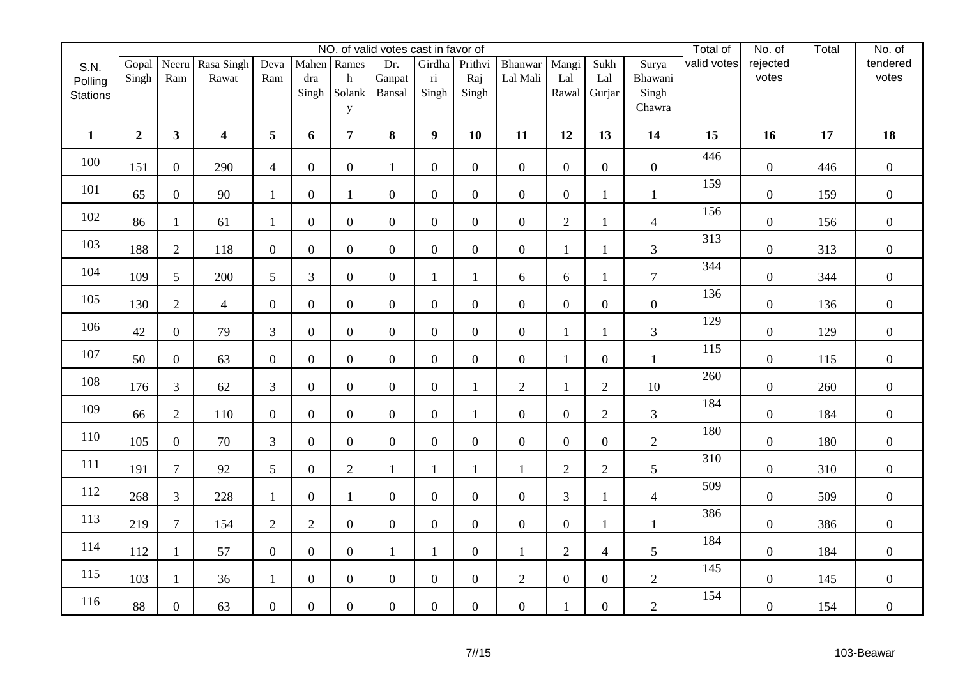|                            |                  |                  |                         |                  |                  |                  | NO. of valid votes cast in favor of |                                  |                  |                  |                |                  |                  | Total of    | No. of            | Total | No. of            |
|----------------------------|------------------|------------------|-------------------------|------------------|------------------|------------------|-------------------------------------|----------------------------------|------------------|------------------|----------------|------------------|------------------|-------------|-------------------|-------|-------------------|
| S.N.                       | Gopal            | Neeru            | Rasa Singh              | Deva             |                  | Mahen Rames      | Dr.                                 | Girdha                           | Prithvi          | Bhanwar          | Mangi          | Sukh             | Surya            | valid votes | rejected<br>votes |       | tendered<br>votes |
| Polling<br><b>Stations</b> | Singh            | Ram              | Rawat                   | Ram              | dra<br>Singh     | h<br>Solank      | Ganpat<br>Bansal                    | $\overline{\textbf{n}}$<br>Singh | Raj<br>Singh     | Lal Mali         | Lal<br>Rawal   | Lal<br>Gurjar    | Bhawani<br>Singh |             |                   |       |                   |
|                            |                  |                  |                         |                  |                  | y                |                                     |                                  |                  |                  |                |                  | Chawra           |             |                   |       |                   |
| $\mathbf{1}$               | $\boldsymbol{2}$ | 3 <sup>1</sup>   | $\overline{\mathbf{4}}$ | 5                | 6                | $7\overline{ }$  | 8                                   | $\boldsymbol{9}$                 | 10               | 11               | 12             | 13               | 14               | 15          | 16                | 17    | 18                |
| 100                        | 151              | $\overline{0}$   | 290                     | $\overline{4}$   | $\overline{0}$   | $\overline{0}$   | $\mathbf{1}$                        | $\overline{0}$                   | $\overline{0}$   | $\overline{0}$   | $\overline{0}$ | $\overline{0}$   | $\mathbf{0}$     | 446         | $\boldsymbol{0}$  | 446   | $\overline{0}$    |
| 101                        | 65               | $\overline{0}$   | 90                      | $\mathbf{1}$     | $\boldsymbol{0}$ | $\mathbf{1}$     | $\boldsymbol{0}$                    | $\mathbf{0}$                     | $\boldsymbol{0}$ | $\boldsymbol{0}$ | $\overline{0}$ | 1                | $\mathbf{1}$     | 159         | $\overline{0}$    | 159   | $\boldsymbol{0}$  |
| 102                        | 86               | 1                | 61                      | $\mathbf{1}$     | $\mathbf{0}$     | $\overline{0}$   | $\overline{0}$                      | $\overline{0}$                   | $\overline{0}$   | $\boldsymbol{0}$ | $\overline{2}$ | 1                | $\overline{4}$   | 156         | $\overline{0}$    | 156   | $\boldsymbol{0}$  |
| 103                        | 188              | $\mathbf{2}$     | 118                     | $\boldsymbol{0}$ | $\boldsymbol{0}$ | $\overline{0}$   | $\boldsymbol{0}$                    | $\boldsymbol{0}$                 | $\boldsymbol{0}$ | $\boldsymbol{0}$ | $\mathbf{1}$   | 1                | 3                | 313         | $\boldsymbol{0}$  | 313   | $\boldsymbol{0}$  |
| 104                        | 109              | 5                | 200                     | 5                | 3                | $\overline{0}$   | $\overline{0}$                      | $\mathbf{1}$                     | 1                | 6                | 6              | 1                | $\overline{7}$   | 344         | $\overline{0}$    | 344   | $\overline{0}$    |
| 105                        | 130              | $\overline{2}$   | $\overline{4}$          | $\boldsymbol{0}$ | $\boldsymbol{0}$ | $\overline{0}$   | $\boldsymbol{0}$                    | $\boldsymbol{0}$                 | $\overline{0}$   | $\boldsymbol{0}$ | $\overline{0}$ | $\overline{0}$   | $\boldsymbol{0}$ | 136         | $\overline{0}$    | 136   | $\overline{0}$    |
| 106                        | 42               | $\overline{0}$   | 79                      | $\overline{3}$   | $\boldsymbol{0}$ | $\overline{0}$   | $\boldsymbol{0}$                    | $\overline{0}$                   | $\overline{0}$   | $\boldsymbol{0}$ | $\mathbf{1}$   | 1                | 3                | 129         | $\overline{0}$    | 129   | $\boldsymbol{0}$  |
| 107                        | 50               | $\overline{0}$   | 63                      | $\boldsymbol{0}$ | $\boldsymbol{0}$ | $\overline{0}$   | $\overline{0}$                      | $\overline{0}$                   | $\overline{0}$   | $\boldsymbol{0}$ | $\mathbf{1}$   | $\overline{0}$   | $\mathbf{1}$     | 115         | $\overline{0}$    | 115   | $\overline{0}$    |
| 108                        | 176              | $\mathfrak{Z}$   | 62                      | $\overline{3}$   | $\overline{0}$   | $\overline{0}$   | $\boldsymbol{0}$                    | $\overline{0}$                   | $\mathbf{1}$     | $\mathbf{2}$     | $\mathbf{1}$   | $\overline{2}$   | 10               | 260         | $\boldsymbol{0}$  | 260   | $\boldsymbol{0}$  |
| 109                        | 66               | $\overline{2}$   | 110                     | $\mathbf{0}$     | $\overline{0}$   | $\overline{0}$   | $\overline{0}$                      | $\overline{0}$                   | 1                | $\boldsymbol{0}$ | $\overline{0}$ | $\overline{2}$   | 3                | 184         | $\overline{0}$    | 184   | $\boldsymbol{0}$  |
| 110                        | 105              | $\overline{0}$   | 70                      | $\overline{3}$   | $\overline{0}$   | $\overline{0}$   | $\overline{0}$                      | $\overline{0}$                   | $\overline{0}$   | $\boldsymbol{0}$ | $\overline{0}$ | $\overline{0}$   | $\overline{c}$   | 180         | $\overline{0}$    | 180   | $\boldsymbol{0}$  |
| 111                        | 191              | $\overline{7}$   | 92                      | $5\overline{)}$  | $\boldsymbol{0}$ | $\overline{2}$   | $\mathbf{1}$                        | $\mathbf{1}$                     | $\mathbf{1}$     | $\mathbf{1}$     | $\overline{2}$ | $\overline{2}$   | 5                | 310         | $\boldsymbol{0}$  | 310   | $\mathbf{0}$      |
| 112                        | 268              | $\overline{3}$   | 228                     | $\mathbf{1}$     | $\boldsymbol{0}$ | 1                | $\boldsymbol{0}$                    | $\boldsymbol{0}$                 | $\overline{0}$   | $\boldsymbol{0}$ | 3              | 1                | $\overline{4}$   | 509         | $\overline{0}$    | 509   | $\overline{0}$    |
| 113                        | 219              | $\boldsymbol{7}$ | 154                     | $\overline{2}$   | $\mathbf{2}$     | $\overline{0}$   | $\boldsymbol{0}$                    | $\overline{0}$                   | $\boldsymbol{0}$ | $\boldsymbol{0}$ | $\overline{0}$ | $\mathbf{1}$     | $\mathbf{1}$     | 386         | $\boldsymbol{0}$  | 386   | $\overline{0}$    |
| 114                        | 112              | $\mathbf{1}$     | 57                      | $\boldsymbol{0}$ | $\boldsymbol{0}$ | $\boldsymbol{0}$ | 1                                   | $\mathbf{1}$                     | $\overline{0}$   | $\mathbf{1}$     | $\overline{2}$ | $\overline{4}$   | $\mathfrak{S}$   | 184         | $\overline{0}$    | 184   | $\boldsymbol{0}$  |
| 115                        | 103              | $\mathbf{1}$     | 36                      | $\mathbf{1}$     | $\boldsymbol{0}$ | $\overline{0}$   | $\overline{0}$                      | $\overline{0}$                   | $\overline{0}$   | $\overline{2}$   | $\overline{0}$ | $\overline{0}$   | $\overline{2}$   | 145         | $\overline{0}$    | 145   | $\boldsymbol{0}$  |
| 116                        | 88               | $\boldsymbol{0}$ | 63                      | $\boldsymbol{0}$ | $\boldsymbol{0}$ | $\overline{0}$   | $\boldsymbol{0}$                    | $\boldsymbol{0}$                 | $\boldsymbol{0}$ | $\boldsymbol{0}$ |                | $\boldsymbol{0}$ | $\overline{2}$   | 154         | $\boldsymbol{0}$  | 154   | $\boldsymbol{0}$  |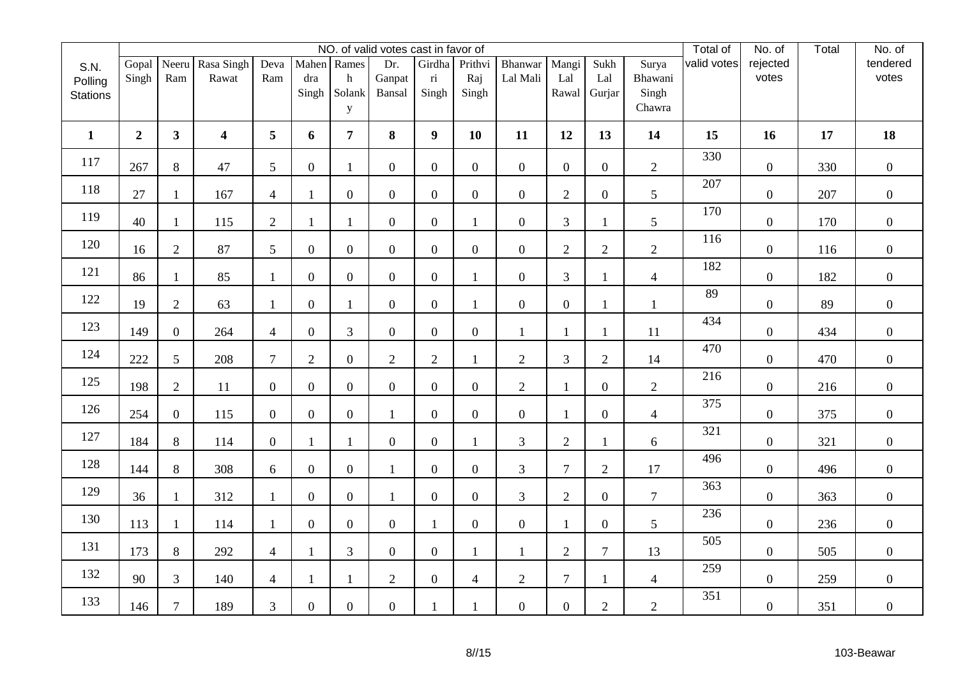|                 |                |                |                     |                  |                  |                  | NO. of valid votes cast in favor of |                                   |                  |                     |                  |                  |                         | Total of    | No. of            | Total | No. of            |
|-----------------|----------------|----------------|---------------------|------------------|------------------|------------------|-------------------------------------|-----------------------------------|------------------|---------------------|------------------|------------------|-------------------------|-------------|-------------------|-------|-------------------|
| S.N.<br>Polling | Gopal<br>Singh | Neeru<br>Ram   | Rasa Singh<br>Rawat | Deva<br>Ram      | dra              | Mahen Rames<br>h | Dr.<br>Ganpat                       | Girdha<br>$\overline{\textbf{n}}$ | Prithvi<br>Raj   | Bhanwar<br>Lal Mali | Mangi<br>Lal     | Sukh<br>Lal      | Surya<br>Bhawani        | valid votes | rejected<br>votes |       | tendered<br>votes |
| <b>Stations</b> |                |                |                     |                  | Singh            | Solank           | Bansal                              | Singh                             | Singh            |                     | Rawal            | Gurjar           | Singh                   |             |                   |       |                   |
|                 |                |                |                     |                  |                  | y                |                                     |                                   |                  |                     |                  |                  | Chawra                  |             |                   |       |                   |
| $\mathbf{1}$    | $\overline{2}$ | 3 <sup>1</sup> | $\boldsymbol{4}$    | 5                | 6                | 7 <sup>1</sup>   | 8                                   | 9                                 | 10               | 11                  | 12               | 13               | 14                      | 15          | 16                | 17    | 18                |
| 117             | 267            | 8              | 47                  | 5                | $\overline{0}$   | $\mathbf{1}$     | $\overline{0}$                      | $\overline{0}$                    | $\overline{0}$   | $\overline{0}$      | $\overline{0}$   | $\overline{0}$   | $\overline{2}$          | 330         | $\overline{0}$    | 330   | $\overline{0}$    |
| 118             | 27             | $\mathbf{1}$   | 167                 | $\overline{4}$   | $\mathbf{1}$     | $\boldsymbol{0}$ | $\boldsymbol{0}$                    | $\overline{0}$                    | $\overline{0}$   | $\boldsymbol{0}$    | $\overline{2}$   | $\overline{0}$   | 5                       | 207         | $\overline{0}$    | 207   | $\boldsymbol{0}$  |
| 119             | 40             | 1              | 115                 | $\overline{2}$   | 1                | 1                | $\overline{0}$                      | $\overline{0}$                    | $\mathbf{1}$     | $\boldsymbol{0}$    | 3                | $\mathbf{1}$     | 5                       | 170         | $\boldsymbol{0}$  | 170   | $\boldsymbol{0}$  |
| 120             | 16             | $\mathbf{2}$   | 87                  | 5                | $\boldsymbol{0}$ | $\overline{0}$   | $\boldsymbol{0}$                    | $\boldsymbol{0}$                  | $\overline{0}$   | $\boldsymbol{0}$    | $\overline{2}$   | $\overline{2}$   | $\overline{2}$          | 116         | $\boldsymbol{0}$  | 116   | $\overline{0}$    |
| 121             | 86             | $\mathbf{1}$   | 85                  | $\mathbf{1}$     | $\overline{0}$   | $\overline{0}$   | $\boldsymbol{0}$                    | $\boldsymbol{0}$                  | 1                | $\boldsymbol{0}$    | 3                | $\mathbf{1}$     | $\overline{4}$          | 182         | $\boldsymbol{0}$  | 182   | $\overline{0}$    |
| 122             | 19             | $\overline{2}$ | 63                  | 1                | $\boldsymbol{0}$ | 1                | $\boldsymbol{0}$                    | $\boldsymbol{0}$                  | 1                | $\boldsymbol{0}$    | $\overline{0}$   | 1                | $\mathbf{1}$            | 89          | $\overline{0}$    | 89    | $\boldsymbol{0}$  |
| 123             | 149            | $\overline{0}$ | 264                 | $\overline{4}$   | $\boldsymbol{0}$ | 3                | $\overline{0}$                      | $\overline{0}$                    | $\overline{0}$   | $\mathbf{1}$        | $\mathbf{1}$     | 1                | 11                      | 434         | $\overline{0}$    | 434   | $\boldsymbol{0}$  |
| 124             | 222            | $\mathfrak{S}$ | 208                 | $\tau$           | $\mathfrak{2}$   | $\overline{0}$   | $\mathbf{2}$                        | $\overline{2}$                    | $\mathbf{1}$     | $\overline{2}$      | 3                | $\overline{2}$   | 14                      | 470         | $\boldsymbol{0}$  | 470   | $\boldsymbol{0}$  |
| 125             | 198            | $\overline{2}$ | 11                  | $\boldsymbol{0}$ | $\boldsymbol{0}$ | $\overline{0}$   | $\overline{0}$                      | $\overline{0}$                    | $\boldsymbol{0}$ | $\overline{2}$      | $\mathbf{1}$     | $\overline{0}$   | $\overline{2}$          | 216         | $\boldsymbol{0}$  | 216   | $\boldsymbol{0}$  |
| 126             | 254            | $\overline{0}$ | 115                 | $\mathbf{0}$     | $\overline{0}$   | $\overline{0}$   | $\mathbf{1}$                        | $\overline{0}$                    | $\overline{0}$   | $\boldsymbol{0}$    | $\mathbf{1}$     | $\overline{0}$   | $\overline{4}$          | 375         | $\overline{0}$    | 375   | $\boldsymbol{0}$  |
| 127             | 184            | $8\,$          | 114                 | $\boldsymbol{0}$ | $\mathbf{1}$     | 1                | $\boldsymbol{0}$                    | $\boldsymbol{0}$                  | $\mathbf{1}$     | 3                   | $\overline{2}$   | 1                | 6                       | 321         | $\boldsymbol{0}$  | 321   | $\boldsymbol{0}$  |
| 128             | 144            | $8\,$          | 308                 | 6                | $\boldsymbol{0}$ | $\overline{0}$   | $\mathbf{1}$                        | $\overline{0}$                    | $\overline{0}$   | $\overline{3}$      | $\overline{7}$   | $\overline{2}$   | 17                      | 496         | $\boldsymbol{0}$  | 496   | $\mathbf{0}$      |
| 129             | 36             | $\mathbf{1}$   | 312                 | $\mathbf{1}$     | $\boldsymbol{0}$ | $\overline{0}$   | $\mathbf{1}$                        | $\boldsymbol{0}$                  | $\overline{0}$   | $\mathfrak{Z}$      | $\sqrt{2}$       | $\boldsymbol{0}$ | $\overline{7}$          | 363         | $\boldsymbol{0}$  | 363   | $\overline{0}$    |
| 130             | 113            | $\mathbf{1}$   | 114                 | $\mathbf{1}$     | $\overline{0}$   | $\overline{0}$   | $\overline{0}$                      | $\mathbf{1}$                      | $\overline{0}$   | $\boldsymbol{0}$    | $\mathbf{1}$     | $\overline{0}$   | 5                       | 236         | $\overline{0}$    | 236   | $\boldsymbol{0}$  |
| 131             | 173            | 8              | 292                 | $\overline{4}$   | $\mathbf{1}$     | 3                | $\boldsymbol{0}$                    | $\mathbf{0}$                      | 1                | $\mathbf{1}$        | $\overline{2}$   | $\overline{7}$   | 13                      | 505         | $\overline{0}$    | 505   | $\boldsymbol{0}$  |
| 132             | 90             | 3              | 140                 | $\overline{4}$   | $\mathbf{1}$     | 1                | $\overline{2}$                      | $\boldsymbol{0}$                  | $\overline{4}$   | $\overline{2}$      | $\boldsymbol{7}$ | 1                | $\overline{\mathbf{4}}$ | 259         | $\boldsymbol{0}$  | 259   | $\boldsymbol{0}$  |
| 133             | 146            | $\overline{7}$ | 189                 | $\mathfrak{Z}$   | $\boldsymbol{0}$ | $\overline{0}$   | $\boldsymbol{0}$                    | 1                                 | $\mathbf{1}$     | $\boldsymbol{0}$    | $\overline{0}$   | $\overline{2}$   | $\overline{2}$          | 351         | $\boldsymbol{0}$  | 351   | $\overline{0}$    |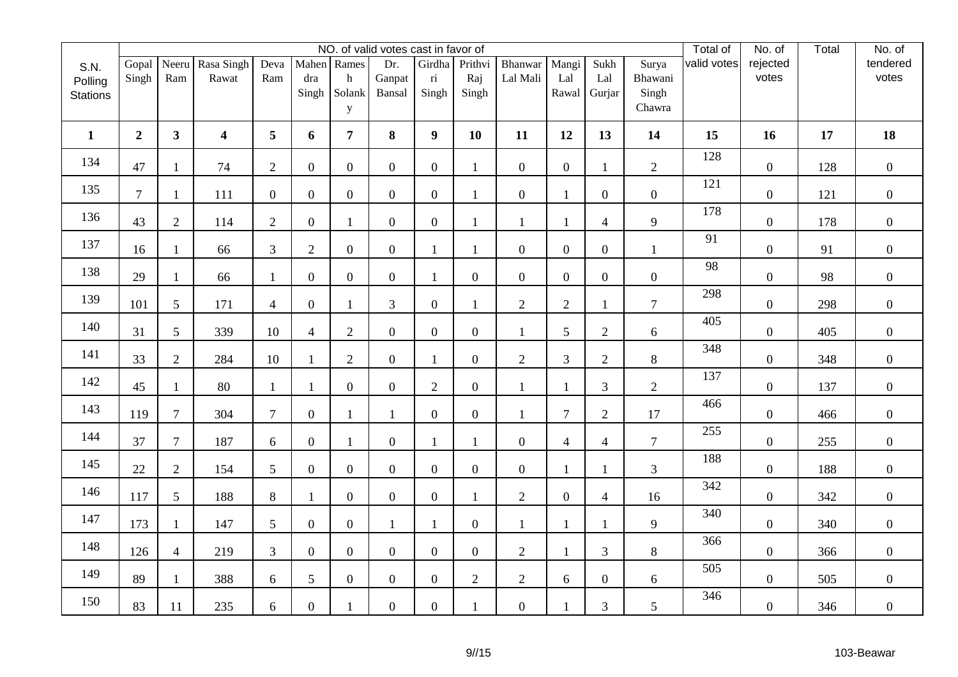|                 |                |                 |                         |                  |                |                       | NO. of valid votes cast in favor of |                                  |                  |                  |                |                  |                  | Total of    | No. of           | Total | No. of           |
|-----------------|----------------|-----------------|-------------------------|------------------|----------------|-----------------------|-------------------------------------|----------------------------------|------------------|------------------|----------------|------------------|------------------|-------------|------------------|-------|------------------|
| S.N.            | Gopal          | Neeru           | Rasa Singh              | Deva             |                | Mahen Rames           | Dr.                                 | Girdha                           | Prithvi          | <b>Bhanwar</b>   | Mangi          | Sukh             | Surya            | valid votes | rejected         |       | tendered         |
| Polling         | Singh          | Ram             | Rawat                   | Ram              | dra<br>Singh   | $\mathbf h$<br>Solank | Ganpat<br>Bansal                    | $\overline{\textbf{n}}$<br>Singh | Raj<br>Singh     | Lal Mali         | Lal<br>Rawal   | Lal<br>Gurjar    | Bhawani<br>Singh |             | votes            |       | votes            |
| <b>Stations</b> |                |                 |                         |                  |                | y                     |                                     |                                  |                  |                  |                |                  | Chawra           |             |                  |       |                  |
|                 |                |                 |                         |                  |                |                       |                                     |                                  |                  |                  |                |                  |                  |             |                  |       |                  |
| $\mathbf{1}$    | $\overline{2}$ | 3 <sup>1</sup>  | $\overline{\mathbf{4}}$ | 5                | 6              | $\overline{7}$        | 8                                   | $\boldsymbol{9}$                 | 10               | 11               | 12             | 13               | 14               | 15          | 16               | 17    | 18               |
| 134             | 47             | $\mathbf{1}$    | 74                      | $\overline{2}$   | $\overline{0}$ | $\overline{0}$        | $\overline{0}$                      | $\boldsymbol{0}$                 |                  | $\boldsymbol{0}$ | $\overline{0}$ | $\mathbf{1}$     | $\overline{2}$   | 128         | $\boldsymbol{0}$ | 128   | $\overline{0}$   |
| 135             | $\tau$         | $\mathbf{1}$    | 111                     | $\boldsymbol{0}$ | $\overline{0}$ | $\overline{0}$        | $\mathbf{0}$                        | $\boldsymbol{0}$                 |                  | $\boldsymbol{0}$ | $\mathbf{1}$   | $\overline{0}$   | $\boldsymbol{0}$ | 121         | $\boldsymbol{0}$ | 121   | $\mathbf{0}$     |
| 136             | 43             | $\overline{2}$  | 114                     | $\mathbf{2}$     | $\overline{0}$ | $\mathbf{1}$          | $\mathbf{0}$                        | $\boldsymbol{0}$                 | $\mathbf{1}$     | $\mathbf{1}$     | 1              | $\overline{4}$   | 9                | 178         | $\boldsymbol{0}$ | 178   | $\mathbf{0}$     |
| 137             | 16             | $\mathbf{1}$    | 66                      | 3                | $\overline{2}$ | $\overline{0}$        | $\boldsymbol{0}$                    | $\mathbf{1}$                     | $\mathbf{1}$     | $\overline{0}$   | $\overline{0}$ | $\overline{0}$   | $\mathbf{1}$     | 91          | $\boldsymbol{0}$ | 91    | $\mathbf{0}$     |
| 138             | 29             | $\mathbf{1}$    | 66                      | $\mathbf{1}$     | $\overline{0}$ | $\overline{0}$        | $\boldsymbol{0}$                    | $\mathbf{1}$                     | $\boldsymbol{0}$ | $\boldsymbol{0}$ | $\overline{0}$ | $\boldsymbol{0}$ | $\boldsymbol{0}$ | 98          | $\boldsymbol{0}$ | 98    | $\overline{0}$   |
| 139             | 101            | 5               | 171                     | $\overline{4}$   | $\overline{0}$ | $\mathbf{1}$          | $\mathfrak{Z}$                      | $\boldsymbol{0}$                 |                  | $\overline{2}$   | $\overline{2}$ | $\mathbf{1}$     | $\tau$           | 298         | $\boldsymbol{0}$ | 298   | $\mathbf{0}$     |
| 140             | 31             | 5               | 339                     | 10               | $\overline{4}$ | $\overline{2}$        | $\boldsymbol{0}$                    | $\boldsymbol{0}$                 | $\overline{0}$   | $\mathbf{1}$     | 5              | $\overline{2}$   | $6\,$            | 405         | $\boldsymbol{0}$ | 405   | $\mathbf{0}$     |
| 141             | 33             | $\overline{2}$  | 284                     | $10\,$           | $\mathbf{1}$   | $\overline{2}$        | $\boldsymbol{0}$                    | $\mathbf{1}$                     | $\boldsymbol{0}$ | $\mathbf{2}$     | 3              | $\overline{2}$   | $8\,$            | 348         | $\boldsymbol{0}$ | 348   | $\mathbf{0}$     |
| 142             | 45             | $\mathbf{1}$    | 80                      | $\mathbf{1}$     | $\mathbf{1}$   | $\overline{0}$        | $\boldsymbol{0}$                    | $\overline{2}$                   | $\boldsymbol{0}$ | $\mathbf{1}$     | $\mathbf{1}$   | $\overline{3}$   | $\overline{2}$   | 137         | $\boldsymbol{0}$ | 137   | $\overline{0}$   |
| 143             | 119            | $\overline{7}$  | 304                     | $\tau$           | $\overline{0}$ | $\mathbf{1}$          | 1                                   | $\overline{0}$                   | $\overline{0}$   | 1                | $\overline{7}$ | 2                | 17               | 466         | $\overline{0}$   | 466   | $\boldsymbol{0}$ |
| 144             | 37             | $\tau$          | 187                     | $6\,$            | $\overline{0}$ | $\mathbf{1}$          | $\boldsymbol{0}$                    | $\mathbf{1}$                     |                  | $\boldsymbol{0}$ | 4              | $\overline{4}$   | $\tau$           | 255         | $\boldsymbol{0}$ | 255   | $\mathbf{0}$     |
| 145             | 22             | $\overline{2}$  | 154                     | 5                | $\mathbf{0}$   | $\overline{0}$        | $\mathbf{0}$                        | $\boldsymbol{0}$                 | $\overline{0}$   | $\boldsymbol{0}$ | $\mathbf{1}$   | 1                | $\overline{3}$   | 188         | $\boldsymbol{0}$ | 188   | $\mathbf{0}$     |
| 146             | 117            | $5\overline{)}$ | 188                     | $8\,$            | $\mathbf{1}$   | $\overline{0}$        | $\boldsymbol{0}$                    | $\boldsymbol{0}$                 | $\mathbf{1}$     | $\overline{2}$   | $\overline{0}$ | $\overline{4}$   | 16               | 342         | $\boldsymbol{0}$ | 342   | $\boldsymbol{0}$ |
| 147             | 173            | $\mathbf{1}$    | 147                     | 5                | $\overline{0}$ | $\overline{0}$        | $\mathbf{1}$                        | $\mathbf{1}$                     | $\boldsymbol{0}$ | $\mathbf{1}$     | $\mathbf{1}$   | $\mathbf{1}$     | 9                | 340         | $\boldsymbol{0}$ | 340   | $\overline{0}$   |
| 148             | 126            | $\overline{4}$  | 219                     | 3                | $\overline{0}$ | $\overline{0}$        | $\mathbf{0}$                        | $\overline{0}$                   | $\overline{0}$   | $\overline{2}$   | $\mathbf{1}$   | 3                | 8                | 366         | $\overline{0}$   | 366   | $\overline{0}$   |
| 149             | 89             | $\mathbf{1}$    | 388                     | $6\,$            | 5              | $\boldsymbol{0}$      | $\boldsymbol{0}$                    | $\boldsymbol{0}$                 | $\overline{2}$   | $\overline{2}$   | 6              | $\boldsymbol{0}$ | 6                | 505         | $\boldsymbol{0}$ | 505   | $\mathbf{0}$     |
| 150             | 83             | 11              | 235                     | $6\,$            | $\overline{0}$ | 1                     | $\mathbf{0}$                        | $\boldsymbol{0}$                 |                  | $\boldsymbol{0}$ | $\mathbf{1}$   | 3                | 5                | 346         | $\boldsymbol{0}$ | 346   | $\mathbf{0}$     |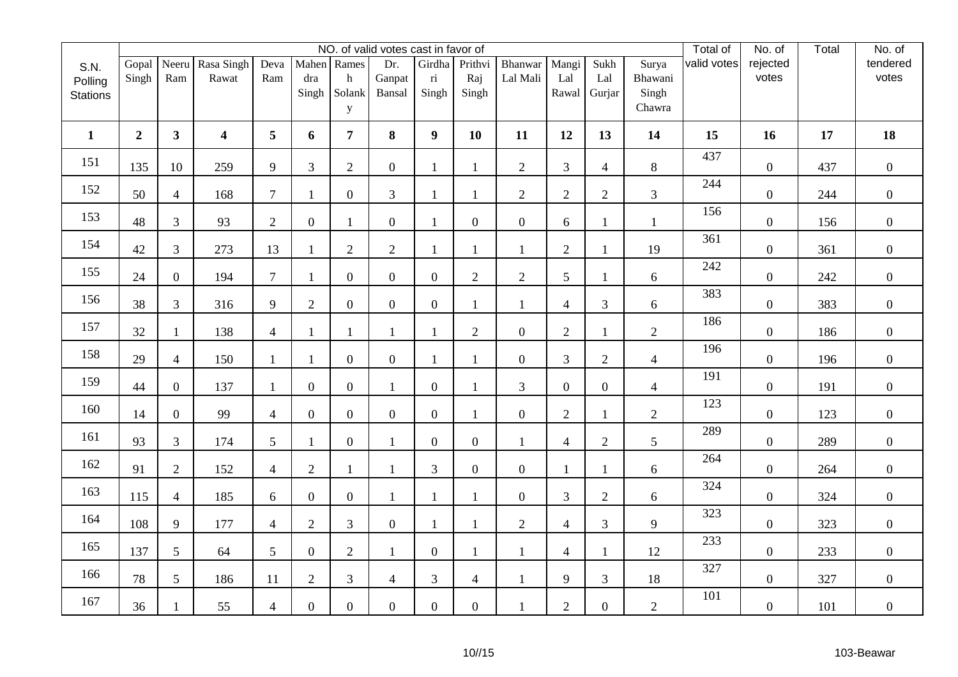|                 |                  |                |                         |                |                         |                | NO. of valid votes cast in favor of |                         |                         |                  |                |                  |                 | Total of    | No. of           | Total | No. of           |
|-----------------|------------------|----------------|-------------------------|----------------|-------------------------|----------------|-------------------------------------|-------------------------|-------------------------|------------------|----------------|------------------|-----------------|-------------|------------------|-------|------------------|
| S.N.            | Gopal            |                | Neeru Rasa Singh        | Deva           |                         | Mahen Rames    | Dr.                                 | Girdha                  | Prithvi                 | Bhanwar          | Mangi          | Sukh             | Surya           | valid votes | rejected         |       | tendered         |
| Polling         | Singh            | Ram            | Rawat                   | Ram            | dra                     | $\mathbf h$    | Ganpat                              | $\overline{\textbf{n}}$ | Raj                     | Lal Mali         | Lal            | Lal              | Bhawani         |             | votes            |       | votes            |
| <b>Stations</b> |                  |                |                         |                | Singh                   | Solank         | Bansal                              | Singh                   | Singh                   |                  | Rawal          | Gurjar           | Singh<br>Chawra |             |                  |       |                  |
|                 |                  |                |                         |                |                         | y              |                                     |                         |                         |                  |                |                  |                 |             |                  |       |                  |
| $\mathbf{1}$    | $\boldsymbol{2}$ | 3 <sup>1</sup> | $\overline{\mathbf{4}}$ | 5              | 6                       | $\overline{7}$ | 8                                   | $\boldsymbol{9}$        | 10                      | 11               | 12             | 13               | 14              | 15          | 16               | 17    | 18               |
| 151             | 135              | 10             | 259                     | 9              | $\mathfrak{Z}$          | $\overline{2}$ | $\mathbf{0}$                        | $\mathbf{1}$            |                         | $\overline{2}$   | $\overline{3}$ | $\overline{4}$   | $8\,$           | 437         | $\boldsymbol{0}$ | 437   | $\overline{0}$   |
| 152             | 50               | $\overline{4}$ | 168                     | $\overline{7}$ | $\mathbf{1}$            | $\overline{0}$ | $\mathfrak{Z}$                      | $\mathbf{1}$            | 1                       | $\overline{2}$   | $\overline{2}$ | $\overline{2}$   | $\mathfrak{Z}$  | 244         | $\boldsymbol{0}$ | 244   | $\overline{0}$   |
| 153             | 48               | $\mathfrak{Z}$ | 93                      | $\overline{2}$ | $\overline{0}$          | $\mathbf{1}$   | $\mathbf{0}$                        | $\mathbf{1}$            | $\overline{0}$          | $\boldsymbol{0}$ | 6              | $\mathbf{1}$     | $\mathbf{1}$    | 156         | $\boldsymbol{0}$ | 156   | $\mathbf{0}$     |
| 154             | 42               | $\overline{3}$ | 273                     | 13             | $\mathbf{1}$            | $\overline{c}$ | $\sqrt{2}$                          | $\mathbf{1}$            | $\mathbf{1}$            | $\mathbf{1}$     | $\overline{2}$ | $\mathbf{1}$     | 19              | 361         | $\boldsymbol{0}$ | 361   | $\mathbf{0}$     |
| 155             | 24               | $\overline{0}$ | 194                     | $\overline{7}$ | $\mathbf{1}$            | $\overline{0}$ | $\overline{0}$                      | $\boldsymbol{0}$        | $\overline{2}$          | $\overline{2}$   | 5              | $\mathbf{1}$     | 6               | 242         | $\boldsymbol{0}$ | 242   | $\overline{0}$   |
| 156             | 38               | $\overline{3}$ | 316                     | 9              | $\overline{2}$          | $\overline{0}$ | $\mathbf{0}$                        | $\boldsymbol{0}$        | 1                       | $\mathbf{1}$     | 4              | $\mathfrak{Z}$   | 6               | 383         | $\boldsymbol{0}$ | 383   | $\overline{0}$   |
| 157             | 32               | $\mathbf{1}$   | 138                     | $\overline{4}$ | $\mathbf{1}$            | $\mathbf{1}$   | $\mathbf{1}$                        | $\mathbf{1}$            | $\overline{2}$          | $\boldsymbol{0}$ | $\overline{2}$ | $\mathbf{1}$     | $\overline{2}$  | 186         | $\boldsymbol{0}$ | 186   | $\overline{0}$   |
| 158             | 29               | $\overline{4}$ | 150                     | $\mathbf{1}$   | $\overline{\mathbf{1}}$ | $\overline{0}$ | $\boldsymbol{0}$                    | $\mathbf{1}$            |                         | $\boldsymbol{0}$ | 3              | $\overline{2}$   | $\overline{4}$  | 196         | $\boldsymbol{0}$ | 196   | $\mathbf{0}$     |
| 159             | 44               | $\overline{0}$ | 137                     | $\mathbf{1}$   | $\mathbf{0}$            | $\overline{0}$ | $\mathbf{1}$                        | $\boldsymbol{0}$        |                         | 3                | $\overline{0}$ | $\boldsymbol{0}$ | $\overline{4}$  | 191         | $\boldsymbol{0}$ | 191   | $\overline{0}$   |
| 160             | 14               | $\overline{0}$ | 99                      | $\overline{4}$ | $\overline{0}$          | $\overline{0}$ | $\mathbf{0}$                        | $\boldsymbol{0}$        |                         | $\boldsymbol{0}$ | $\overline{2}$ | $\mathbf{1}$     | $\overline{2}$  | 123         | $\boldsymbol{0}$ | 123   | $\boldsymbol{0}$ |
| 161             | 93               | $\overline{3}$ | 174                     | 5              | $\mathbf{1}$            | $\overline{0}$ | $\mathbf{1}$                        | $\boldsymbol{0}$        | $\boldsymbol{0}$        | $\mathbf{1}$     | 4              | $\sqrt{2}$       | $5\overline{)}$ | 289         | $\boldsymbol{0}$ | 289   | $\mathbf{0}$     |
| 162             | 91               | $\overline{2}$ | 152                     | $\overline{4}$ | $\overline{2}$          | $\mathbf{1}$   | $\mathbf{1}$                        | $\mathfrak{Z}$          | $\overline{0}$          | $\overline{0}$   | $\mathbf{1}$   | $\mathbf{1}$     | $6\,$           | 264         | $\overline{0}$   | 264   | $\overline{0}$   |
| 163             | 115              | $\overline{4}$ | 185                     | $6\,$          | $\boldsymbol{0}$        | $\overline{0}$ | $\mathbf{1}$                        | $\mathbf{1}$            | $\mathbf{1}$            | $\boldsymbol{0}$ | $\mathfrak{Z}$ | $\overline{2}$   | 6               | 324         | $\boldsymbol{0}$ | 324   | $\mathbf{0}$     |
| 164             | 108              | 9              | 177                     | $\overline{4}$ | $\overline{2}$          | 3              | $\boldsymbol{0}$                    | $\mathbf{1}$            | $\mathbf{1}$            | $\overline{2}$   | 4              | $\overline{3}$   | 9               | 323         | $\boldsymbol{0}$ | 323   | $\overline{0}$   |
| 165             | 137              | 5              | 64                      | 5              | $\overline{0}$          | $\overline{2}$ | $\mathbf{1}$                        | $\overline{0}$          |                         | $\mathbf{1}$     | 4              | $\mathbf{1}$     | 12              | 233         | $\overline{0}$   | 233   | $\overline{0}$   |
| 166             | 78               | 5              | 186                     | 11             | $\sqrt{2}$              | 3              | $\overline{4}$                      | $\mathfrak{Z}$          | $\overline{\mathbf{4}}$ | $\mathbf{1}$     | 9              | $\mathfrak{Z}$   | 18              | 327         | $\boldsymbol{0}$ | 327   | $\mathbf{0}$     |
| 167             | 36               | 1              | 55                      | $\overline{4}$ | $\overline{0}$          | $\overline{0}$ | $\mathbf{0}$                        | $\boldsymbol{0}$        | $\boldsymbol{0}$        | $\mathbf{1}$     | $\overline{2}$ | $\boldsymbol{0}$ | $\overline{2}$  | 101         | $\boldsymbol{0}$ | 101   | $\mathbf{0}$     |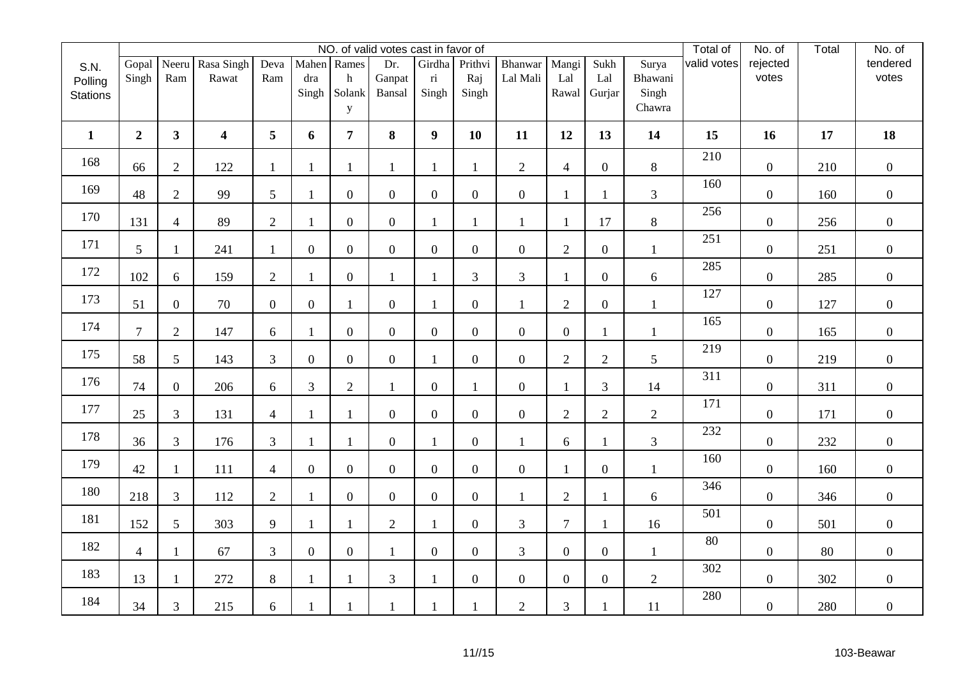|                 |                |                |                  |                  |                  |                  | NO. of valid votes cast in favor of |                         |                  |                  |                  |                  |                | Total of    | No. of           | Total | No. of         |
|-----------------|----------------|----------------|------------------|------------------|------------------|------------------|-------------------------------------|-------------------------|------------------|------------------|------------------|------------------|----------------|-------------|------------------|-------|----------------|
| S.N.            | Gopal          | Neeru          | Rasa Singh       | Deva             |                  | Mahen Rames      | Dr.                                 | Girdha                  | Prithvi          | Bhanwar          | Mangi            | Sukh             | Surya          | valid votes | rejected         |       | tendered       |
| Polling         | Singh          | Ram            | Rawat            | Ram              | dra              | h                | Ganpat                              | $\overline{\textbf{n}}$ | Raj              | Lal Mali         | Lal              | Lal              | Bhawani        |             | votes            |       | votes          |
| <b>Stations</b> |                |                |                  |                  | Singh            | Solank           | Bansal                              | Singh                   | Singh            |                  | Rawal            | Gurjar           | Singh          |             |                  |       |                |
|                 |                |                |                  |                  |                  | $\mathbf{y}$     |                                     |                         |                  |                  |                  |                  | Chawra         |             |                  |       |                |
| $\mathbf{1}$    | $\overline{2}$ | 3 <sup>1</sup> | $\boldsymbol{4}$ | 5                | 6                | $\overline{7}$   | 8                                   | $\boldsymbol{9}$        | 10               | 11               | 12               | 13               | 14             | 15          | 16               | 17    | 18             |
| 168             | 66             | $\overline{2}$ | 122              | $\mathbf{1}$     | 1                | 1                | $\mathbf{1}$                        | $\mathbf{1}$            | $\mathbf{1}$     | $\overline{2}$   | $\overline{4}$   | $\boldsymbol{0}$ | $8\,$          | 210         | $\boldsymbol{0}$ | 210   | $\overline{0}$ |
| 169             | 48             | $\overline{2}$ | 99               | 5                | $\mathbf{1}$     | $\overline{0}$   | $\overline{0}$                      | $\boldsymbol{0}$        | $\overline{0}$   | $\boldsymbol{0}$ | 1                | $\mathbf{1}$     | $\mathfrak{Z}$ | 160         | $\boldsymbol{0}$ | 160   | $\overline{0}$ |
| 170             | 131            | $\overline{4}$ | 89               | $\overline{2}$   | 1                | $\overline{0}$   | $\overline{0}$                      | $\mathbf{1}$            | $\mathbf{1}$     | $\mathbf{1}$     | 1                | 17               | $8\,$          | 256         | $\boldsymbol{0}$ | 256   | $\mathbf{0}$   |
| 171             | 5              | $\mathbf{1}$   | 241              | $\mathbf{1}$     | $\boldsymbol{0}$ | $\boldsymbol{0}$ | $\mathbf{0}$                        | $\boldsymbol{0}$        | $\boldsymbol{0}$ | $\boldsymbol{0}$ | $\overline{2}$   | $\boldsymbol{0}$ | $\mathbf{1}$   | 251         | $\boldsymbol{0}$ | 251   | $\mathbf{0}$   |
| 172             | 102            | 6              | 159              | $\sqrt{2}$       | 1                | $\overline{0}$   | $\mathbf{1}$                        | $\mathbf{1}$            | $\overline{3}$   | $\mathfrak{Z}$   | 1                | $\overline{0}$   | 6              | 285         | $\boldsymbol{0}$ | 285   | $\overline{0}$ |
| 173             | 51             | $\overline{0}$ | 70               | $\boldsymbol{0}$ | $\overline{0}$   | 1                | $\mathbf{0}$                        | $\mathbf{1}$            | $\boldsymbol{0}$ | $\mathbf{1}$     | $\overline{2}$   | $\boldsymbol{0}$ | $\mathbf{1}$   | 127         | $\boldsymbol{0}$ | 127   | $\overline{0}$ |
| 174             | $\overline{7}$ | $\overline{2}$ | 147              | 6                | 1                | $\overline{0}$   | $\overline{0}$                      | $\boldsymbol{0}$        | $\boldsymbol{0}$ | $\boldsymbol{0}$ | $\mathbf{0}$     | $\mathbf{1}$     | $\mathbf{1}$   | 165         | $\boldsymbol{0}$ | 165   | $\mathbf{0}$   |
| 175             | 58             | 5 <sup>5</sup> | 143              | $\mathfrak{Z}$   | $\mathbf{0}$     | $\overline{0}$   | $\overline{0}$                      | $\mathbf{1}$            | $\overline{0}$   | $\boldsymbol{0}$ | $\overline{2}$   | $\mathbf{2}$     | 5              | 219         | $\boldsymbol{0}$ | 219   | $\mathbf{0}$   |
| 176             | 74             | $\overline{0}$ | 206              | 6                | 3                | $\overline{2}$   | $\mathbf{1}$                        | $\boldsymbol{0}$        | $\mathbf{1}$     | $\boldsymbol{0}$ | 1                | 3                | 14             | 311         | $\boldsymbol{0}$ | 311   | $\overline{0}$ |
| 177             | 25             | $\mathfrak{Z}$ | 131              | $\overline{4}$   | 1                | 1                | $\overline{0}$                      | $\boldsymbol{0}$        | $\boldsymbol{0}$ | $\overline{0}$   | $\overline{2}$   | $\overline{2}$   | $\mathbf{2}$   | 171         | $\boldsymbol{0}$ | 171   | $\mathbf{0}$   |
| 178             | 36             | $\overline{3}$ | 176              | 3                | -1               | 1                | $\mathbf{0}$                        | $\mathbf{1}$            | $\boldsymbol{0}$ | $\mathbf{1}$     | 6                | $\mathbf{1}$     | 3              | 232         | $\boldsymbol{0}$ | 232   | $\mathbf{0}$   |
| 179             | 42             | $\mathbf{1}$   | 111              | $\overline{4}$   | $\overline{0}$   | $\overline{0}$   | $\overline{0}$                      | $\boldsymbol{0}$        | $\overline{0}$   | $\overline{0}$   | 1                | $\boldsymbol{0}$ | $\mathbf{1}$   | 160         | $\boldsymbol{0}$ | 160   | $\overline{0}$ |
| 180             | 218            | $\mathfrak{Z}$ | 112              | $\mathbf{2}$     | $\mathbf{1}$     | $\overline{0}$   | $\overline{0}$                      | $\boldsymbol{0}$        | $\boldsymbol{0}$ | $\mathbf{1}$     | $\overline{2}$   | $\mathbf{1}$     | $\sqrt{6}$     | 346         | $\boldsymbol{0}$ | 346   | $\overline{0}$ |
| 181             | 152            | 5              | 303              | 9                | $\mathbf{1}$     | 1                | $\overline{2}$                      | $\mathbf{1}$            | $\boldsymbol{0}$ | 3                | $\overline{7}$   | $\mathbf{1}$     | 16             | 501         | $\boldsymbol{0}$ | 501   | $\overline{0}$ |
| 182             | $\overline{4}$ | $\mathbf{1}$   | 67               | 3                | $\overline{0}$   | $\overline{0}$   | $\mathbf{1}$                        | $\mathbf{0}$            | $\overline{0}$   | 3                | $\overline{0}$   | $\overline{0}$   | $\mathbf{1}$   | 80          | $\overline{0}$   | 80    | $\overline{0}$ |
| 183             | 13             | $\mathbf{1}$   | 272              | $\,8\,$          | $\mathbf{1}$     |                  | $\mathfrak{Z}$                      | $\mathbf{1}$            | $\boldsymbol{0}$ | $\boldsymbol{0}$ | $\boldsymbol{0}$ | $\boldsymbol{0}$ | $\mathbf{2}$   | 302         | $\boldsymbol{0}$ | 302   | $\mathbf{0}$   |
| 184             | 34             | $\mathfrak{Z}$ | 215              | 6                |                  |                  | $\mathbf{1}$                        | $\mathbf{1}$            | 1                | $\overline{2}$   | 3                | 1                | 11             | 280         | $\boldsymbol{0}$ | 280   | $\mathbf{0}$   |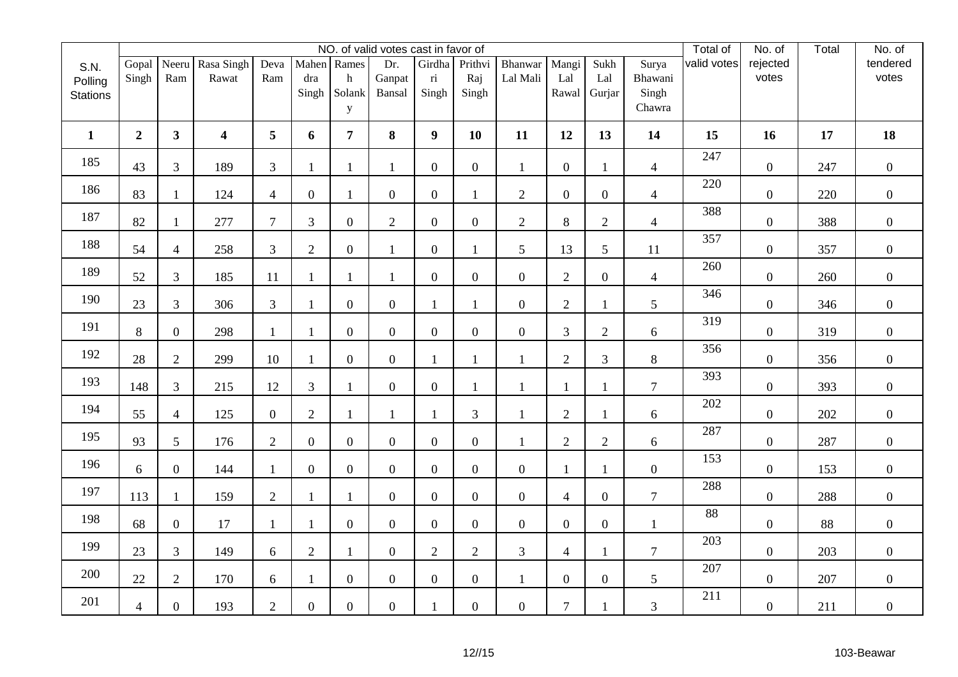|                 |                  |                  |                         |                  |                |                  | NO. of valid votes cast in favor of |                         |                  |                  |                  |                  |                  | Total of    | No. of           | Total | No. of           |
|-----------------|------------------|------------------|-------------------------|------------------|----------------|------------------|-------------------------------------|-------------------------|------------------|------------------|------------------|------------------|------------------|-------------|------------------|-------|------------------|
| S.N.            | Gopal            |                  | Neeru Rasa Singh        | Deva             |                | Mahen Rames      | Dr.                                 | Girdha                  | Prithvi          | Bhanwar          | Mangi            | Sukh             | Surya            | valid votes | rejected         |       | tendered         |
| Polling         | Singh            | Ram              | Rawat                   | Ram              | dra            | $\mathbf h$      | Ganpat                              | $\overline{\textbf{n}}$ | Raj              | Lal Mali         | Lal              | Lal              | Bhawani          |             | votes            |       | votes            |
| <b>Stations</b> |                  |                  |                         |                  | Singh          | Solank           | Bansal                              | Singh                   | Singh            |                  | Rawal            | Gurjar           | Singh            |             |                  |       |                  |
|                 |                  |                  |                         |                  |                | y                |                                     |                         |                  |                  |                  |                  | Chawra           |             |                  |       |                  |
| $\mathbf{1}$    | $\boldsymbol{2}$ | 3 <sup>1</sup>   | $\overline{\mathbf{4}}$ | 5                | 6              | $\overline{7}$   | 8                                   | $\boldsymbol{9}$        | 10               | 11               | 12               | 13               | 14               | 15          | 16               | 17    | 18               |
| 185             | 43               | $\overline{3}$   | 189                     | $\mathfrak{Z}$   | $\mathbf{1}$   | $\mathbf{1}$     | $\mathbf{1}$                        | $\boldsymbol{0}$        | $\boldsymbol{0}$ | $\mathbf{1}$     | $\overline{0}$   | 1                | $\overline{4}$   | 247         | $\boldsymbol{0}$ | 247   | $\overline{0}$   |
| 186             | 83               | $\mathbf{1}$     | 124                     | $\overline{4}$   | $\overline{0}$ | $\mathbf{1}$     | $\boldsymbol{0}$                    | $\boldsymbol{0}$        | 1                | $\overline{2}$   | $\overline{0}$   | $\overline{0}$   | $\overline{4}$   | 220         | $\boldsymbol{0}$ | 220   | $\overline{0}$   |
| 187             | 82               | $\mathbf{1}$     | 277                     | $\tau$           | 3              | $\overline{0}$   | $\overline{2}$                      | $\overline{0}$          | $\overline{0}$   | $\overline{2}$   | 8                | $\overline{2}$   | $\overline{4}$   | 388         | $\boldsymbol{0}$ | 388   | $\mathbf{0}$     |
| 188             | 54               | $\overline{4}$   | 258                     | $\mathfrak{Z}$   | $\sqrt{2}$     | $\overline{0}$   | $\mathbf{1}$                        | $\boldsymbol{0}$        | $\mathbf{1}$     | 5                | 13               | 5                | 11               | 357         | $\boldsymbol{0}$ | 357   | $\mathbf{0}$     |
| 189             | 52               | $\overline{3}$   | 185                     | 11               | 1              | $\mathbf{1}$     | 1                                   | $\boldsymbol{0}$        | $\overline{0}$   | $\boldsymbol{0}$ | $\overline{2}$   | $\overline{0}$   | $\overline{4}$   | 260         | $\boldsymbol{0}$ | 260   | $\overline{0}$   |
| 190             | 23               | $\overline{3}$   | 306                     | 3                | $\mathbf{1}$   | $\overline{0}$   | $\mathbf{0}$                        | $\mathbf{1}$            |                  | $\boldsymbol{0}$ | $\overline{2}$   | $\mathbf{1}$     | 5                | 346         | $\boldsymbol{0}$ | 346   | $\overline{0}$   |
| 191             | 8                | $\overline{0}$   | 298                     | $\mathbf{1}$     | $\mathbf{1}$   | $\overline{0}$   | $\boldsymbol{0}$                    | $\boldsymbol{0}$        | $\overline{0}$   | $\boldsymbol{0}$ | 3                | $\overline{2}$   | 6                | 319         | $\boldsymbol{0}$ | 319   | $\mathbf{0}$     |
| 192             | 28               | $\overline{2}$   | 299                     | 10               |                | $\overline{0}$   | $\boldsymbol{0}$                    | $\mathbf{1}$            |                  | $\mathbf{1}$     | $\mathbf{2}$     | $\overline{3}$   | $8\,$            | 356         | $\boldsymbol{0}$ | 356   | $\mathbf{0}$     |
| 193             | 148              | 3                | 215                     | 12               | 3              | 1                | $\mathbf{0}$                        | $\boldsymbol{0}$        |                  | $\mathbf{1}$     | $\mathbf{1}$     | 1                | $\overline{7}$   | 393         | $\boldsymbol{0}$ | 393   | $\overline{0}$   |
| 194             | 55               | $\overline{4}$   | 125                     | $\boldsymbol{0}$ | $\overline{2}$ | $\mathbf{1}$     | 1                                   | $\mathbf{1}$            | 3                | 1                | $\overline{2}$   | $\mathbf{1}$     | 6                | 202         | $\boldsymbol{0}$ | 202   | $\boldsymbol{0}$ |
| 195             | 93               | 5                | 176                     | $\mathbf{2}$     | $\mathbf{0}$   | $\overline{0}$   | $\boldsymbol{0}$                    | $\boldsymbol{0}$        | $\boldsymbol{0}$ | $\mathbf{1}$     | $\mathbf{2}$     | $\sqrt{2}$       | 6                | 287         | $\boldsymbol{0}$ | 287   | $\mathbf{0}$     |
| 196             | 6                | $\overline{0}$   | 144                     | $\mathbf{1}$     | $\overline{0}$ | $\overline{0}$   | $\mathbf{0}$                        | $\overline{0}$          | $\overline{0}$   | $\overline{0}$   | $\mathbf{1}$     | $\mathbf{1}$     | $\boldsymbol{0}$ | 153         | $\overline{0}$   | 153   | $\overline{0}$   |
| 197             | 113              | $\mathbf{1}$     | 159                     | $\mathbf{2}$     | $\mathbf{1}$   | $\mathbf{1}$     | $\boldsymbol{0}$                    | $\boldsymbol{0}$        | $\boldsymbol{0}$ | $\boldsymbol{0}$ | 4                | $\boldsymbol{0}$ | $\boldsymbol{7}$ | 288         | $\boldsymbol{0}$ | 288   | $\mathbf{0}$     |
| 198             | 68               | $\boldsymbol{0}$ | 17                      | $\mathbf{1}$     | $\mathbf{1}$   | $\overline{0}$   | $\boldsymbol{0}$                    | $\overline{0}$          | $\overline{0}$   | $\boldsymbol{0}$ | $\overline{0}$   | $\overline{0}$   | $\mathbf{1}$     | 88          | $\boldsymbol{0}$ | 88    | $\overline{0}$   |
| 199             | 23               | 3                | 149                     | 6                | $\overline{2}$ | 1                | $\mathbf{0}$                        | $\overline{2}$          | $\overline{2}$   | $\mathfrak{Z}$   | 4                | $\mathbf{1}$     | $\tau$           | 203         | $\overline{0}$   | 203   | $\overline{0}$   |
| 200             | 22               | $\overline{2}$   | 170                     | $\sqrt{6}$       | $\mathbf{1}$   | $\boldsymbol{0}$ | $\boldsymbol{0}$                    | $\boldsymbol{0}$        | $\boldsymbol{0}$ | $\mathbf{1}$     | $\boldsymbol{0}$ | $\boldsymbol{0}$ | $\mathfrak{S}$   | 207         | $\boldsymbol{0}$ | 207   | $\mathbf{0}$     |
| 201             | $\overline{4}$   | $\overline{0}$   | 193                     | $\mathbf{2}$     | $\overline{0}$ | $\overline{0}$   | $\mathbf{0}$                        | $\mathbf{1}$            | $\boldsymbol{0}$ | $\boldsymbol{0}$ | $\overline{7}$   | 1                | $\mathfrak{Z}$   | 211         | $\boldsymbol{0}$ | 211   | $\overline{0}$   |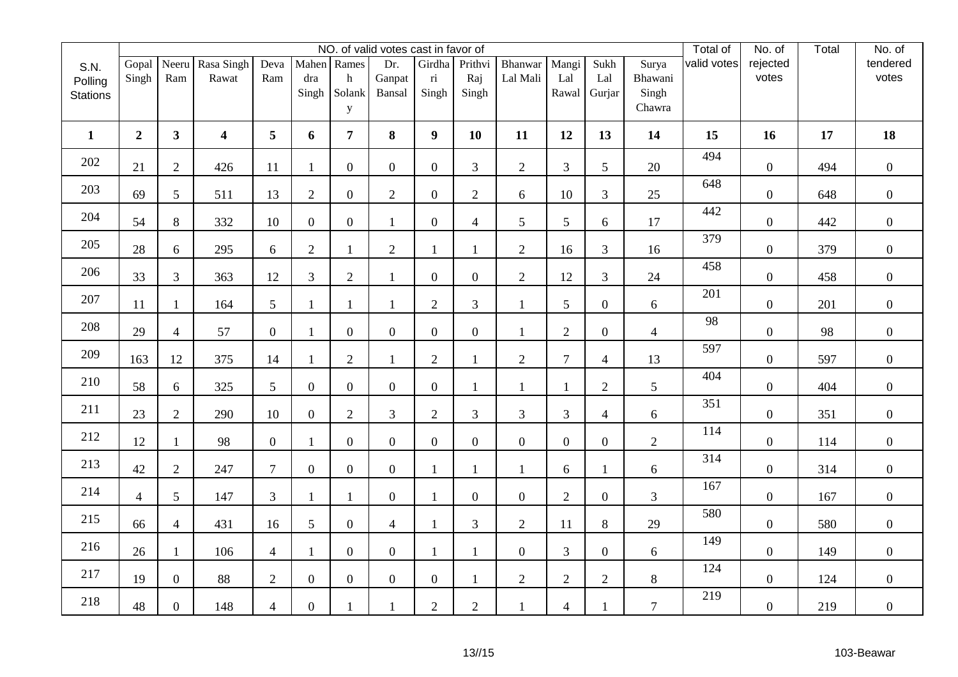|                            |                | NO. of valid votes cast in favor of |                         |                  |                  |                  |                  |                                   |                  |                     |                |                  |                  |             |                   | Total | No. of            |
|----------------------------|----------------|-------------------------------------|-------------------------|------------------|------------------|------------------|------------------|-----------------------------------|------------------|---------------------|----------------|------------------|------------------|-------------|-------------------|-------|-------------------|
| S.N.                       | Gopal<br>Singh | Neeru<br>Ram                        | Rasa Singh<br>Rawat     | Deva<br>Ram      | dra              | Mahen Rames<br>h | Dr.<br>Ganpat    | Girdha<br>$\overline{\textbf{n}}$ | Prithvi<br>Raj   | Bhanwar<br>Lal Mali | Mangi<br>Lal   | Sukh<br>Lal      | Surya<br>Bhawani | valid votes | rejected<br>votes |       | tendered<br>votes |
| Polling<br><b>Stations</b> |                |                                     |                         |                  | Singh            | Solank           | Bansal           | Singh                             | Singh            |                     | Rawal          | Gurjar           | Singh            |             |                   |       |                   |
|                            |                |                                     |                         |                  |                  | y                |                  |                                   |                  |                     |                |                  | Chawra           |             |                   |       |                   |
| $\mathbf{1}$               | $\overline{2}$ | 3 <sup>1</sup>                      | $\overline{\mathbf{4}}$ | 5                | 6                | 7 <sup>1</sup>   | 8                | 9                                 | 10               | 11                  | 12             | 13               | 14               | 15          | 16                | 17    | 18                |
| 202                        | 21             | $\overline{2}$                      | 426                     | 11               | $\mathbf{1}$     | $\overline{0}$   | $\overline{0}$   | $\overline{0}$                    | 3                | $\overline{2}$      | 3              | 5 <sup>5</sup>   | 20               | 494         | $\overline{0}$    | 494   | $\overline{0}$    |
| 203                        | 69             | 5                                   | 511                     | 13               | $\overline{2}$   | $\overline{0}$   | $\overline{2}$   | $\overline{0}$                    | $\overline{2}$   | $\boldsymbol{6}$    | 10             | 3                | 25               | 648         | $\overline{0}$    | 648   | $\boldsymbol{0}$  |
| 204                        | 54             | 8                                   | 332                     | 10               | $\overline{0}$   | $\overline{0}$   | $\mathbf{1}$     | $\overline{0}$                    | $\overline{4}$   | 5                   | 5              | 6                | 17               | 442         | $\overline{0}$    | 442   | $\boldsymbol{0}$  |
| 205                        | 28             | 6                                   | 295                     | 6                | $\overline{2}$   | 1                | $\sqrt{2}$       | $\mathbf{1}$                      | $\mathbf{1}$     | $\overline{2}$      | 16             | $\overline{3}$   | 16               | 379         | $\boldsymbol{0}$  | 379   | $\overline{0}$    |
| 206                        | 33             | $\mathfrak{Z}$                      | 363                     | 12               | 3                | $\overline{2}$   | $\mathbf{1}$     | $\boldsymbol{0}$                  | $\boldsymbol{0}$ | $\overline{2}$      | 12             | 3                | 24               | 458         | $\boldsymbol{0}$  | 458   | $\overline{0}$    |
| 207                        | 11             | 1                                   | 164                     | 5                | $\mathbf{1}$     | 1                | $\mathbf{1}$     | $\overline{2}$                    | $\overline{3}$   | $\mathbf{1}$        | 5              | $\overline{0}$   | 6                | 201         | $\overline{0}$    | 201   | $\boldsymbol{0}$  |
| 208                        | 29             | $\overline{4}$                      | 57                      | $\boldsymbol{0}$ | $\mathbf{1}$     | $\overline{0}$   | $\overline{0}$   | $\overline{0}$                    | $\overline{0}$   |                     | $\overline{2}$ | $\overline{0}$   | $\overline{4}$   | 98          | $\overline{0}$    | 98    | $\boldsymbol{0}$  |
| 209                        | 163            | 12                                  | 375                     | 14               | $\overline{1}$   | $\overline{2}$   | $\mathbf{1}$     | $\overline{2}$                    | $\mathbf{1}$     | $\overline{2}$      | $\tau$         | $\overline{4}$   | 13               | 597         | $\boldsymbol{0}$  | 597   | $\boldsymbol{0}$  |
| 210                        | 58             | 6                                   | 325                     | 5                | $\boldsymbol{0}$ | $\overline{0}$   | $\overline{0}$   | $\overline{0}$                    | $\mathbf{1}$     | 1                   | $\mathbf{1}$   | $\overline{2}$   | 5                | 404         | $\overline{0}$    | 404   | $\boldsymbol{0}$  |
| 211                        | 23             | $\overline{2}$                      | 290                     | 10               | $\overline{0}$   | $\overline{2}$   | $\overline{3}$   | $\overline{2}$                    | 3                | $\mathfrak{Z}$      | 3              | $\overline{4}$   | 6                | 351         | $\overline{0}$    | 351   | $\boldsymbol{0}$  |
| 212                        | 12             | $\mathbf{1}$                        | 98                      | $\boldsymbol{0}$ | $\mathbf{1}$     | $\overline{0}$   | $\boldsymbol{0}$ | $\overline{0}$                    | $\overline{0}$   | $\boldsymbol{0}$    | $\overline{0}$ | $\overline{0}$   | $\sqrt{2}$       | 114         | $\boldsymbol{0}$  | 114   | $\boldsymbol{0}$  |
| 213                        | 42             | $\mathbf{2}$                        | 247                     | $\overline{7}$   | $\overline{0}$   | $\overline{0}$   | $\overline{0}$   | $\mathbf{1}$                      | $\mathbf{1}$     | $\mathbf{1}$        | 6              | $\mathbf{1}$     | 6                | 314         | $\overline{0}$    | 314   | $\overline{0}$    |
| 214                        | $\overline{4}$ | $\mathfrak{S}$                      | 147                     | 3                | $\mathbf{1}$     | $\mathbf{1}$     | $\boldsymbol{0}$ | $\mathbf{1}$                      | $\overline{0}$   | $\boldsymbol{0}$    | $\sqrt{2}$     | $\boldsymbol{0}$ | 3                | 167         | $\boldsymbol{0}$  | 167   | $\boldsymbol{0}$  |
| 215                        | 66             | $\overline{4}$                      | 431                     | 16               | 5                | $\overline{0}$   | $\overline{4}$   | $\mathbf{1}$                      | $\overline{3}$   | $\overline{2}$      | 11             | 8                | 29               | 580         | $\overline{0}$    | 580   | $\boldsymbol{0}$  |
| 216                        | 26             | 1                                   | 106                     | $\overline{4}$   | $\mathbf{1}$     | $\overline{0}$   | $\boldsymbol{0}$ | $\mathbf{1}$                      | 1                | $\boldsymbol{0}$    | 3              | $\overline{0}$   | 6                | 149         | $\overline{0}$    | 149   | $\boldsymbol{0}$  |
| 217                        | 19             | $\boldsymbol{0}$                    | 88                      | $\overline{2}$   | $\boldsymbol{0}$ | $\boldsymbol{0}$ | $\boldsymbol{0}$ | $\boldsymbol{0}$                  | $\mathbf{1}$     | $\mathbf{2}$        | $\sqrt{2}$     | $\overline{2}$   | $8\,$            | 124         | $\boldsymbol{0}$  | 124   | $\boldsymbol{0}$  |
| 218                        | 48             | $\overline{0}$                      | 148                     | $\overline{4}$   | $\boldsymbol{0}$ |                  | $\mathbf{1}$     | $\overline{2}$                    | $\overline{2}$   | $\mathbf{1}$        | $\overline{4}$ |                  | $\overline{7}$   | 219         | $\overline{0}$    | 219   | $\overline{0}$    |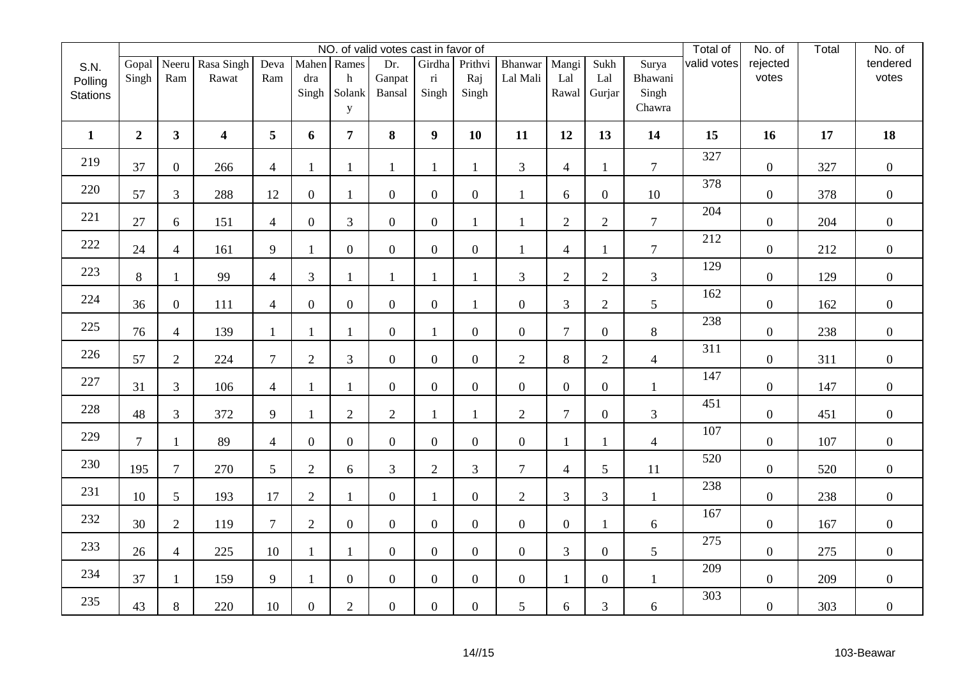|                 |                | NO. of valid votes cast in favor of |                  |                |                  |                  |                  |                         |                  |                  |                |                  |                 |             |                  | Total | No. of           |
|-----------------|----------------|-------------------------------------|------------------|----------------|------------------|------------------|------------------|-------------------------|------------------|------------------|----------------|------------------|-----------------|-------------|------------------|-------|------------------|
| S.N.            | Gopal          | Neeru                               | Rasa Singh       | Deva           |                  | Mahen Rames      | Dr.              | Girdha                  | Prithvi          | Bhanwar          | Mangi          | Sukh             | Surya           | valid votes | rejected         |       | tendered         |
| Polling         | Singh          | Ram                                 | Rawat            | Ram            | dra              | h<br>Solank      | Ganpat           | $\overline{\textbf{n}}$ | Raj              | Lal Mali         | Lal            | Lal              | Bhawani         |             | votes            |       | votes            |
| <b>Stations</b> |                |                                     |                  |                | Singh            | y                | Bansal           | Singh                   | Singh            |                  | Rawal          | Gurjar           | Singh<br>Chawra |             |                  |       |                  |
|                 |                |                                     |                  |                |                  |                  |                  |                         |                  |                  |                |                  |                 |             |                  |       |                  |
| $\mathbf{1}$    | $\overline{2}$ | 3 <sup>1</sup>                      | $\boldsymbol{4}$ | 5              | 6                | 7 <sup>1</sup>   | 8                | 9                       | 10               | 11               | 12             | 13               | 14              | 15          | 16               | 17    | 18               |
| 219             | 37             | $\overline{0}$                      | 266              | $\overline{4}$ | $\mathbf{1}$     | 1                | 1                | $\mathbf{1}$            | $\mathbf{1}$     | $\overline{3}$   | $\overline{4}$ | 1                | $\overline{7}$  | 327         | $\overline{0}$   | 327   | $\overline{0}$   |
| 220             | 57             | 3                                   | 288              | 12             | $\boldsymbol{0}$ | 1                | $\boldsymbol{0}$ | $\overline{0}$          | $\overline{0}$   | $\mathbf{1}$     | 6              | $\overline{0}$   | 10              | 378         | $\overline{0}$   | 378   | $\boldsymbol{0}$ |
| 221             | 27             | 6                                   | 151              | $\overline{4}$ | $\overline{0}$   | 3                | $\overline{0}$   | $\overline{0}$          | $\mathbf{1}$     | $\mathbf{1}$     | $\overline{2}$ | $\overline{2}$   | $\overline{7}$  | 204         | $\overline{0}$   | 204   | $\overline{0}$   |
| 222             | 24             | $\overline{4}$                      | 161              | 9              | $\mathbf{1}$     | $\overline{0}$   | $\boldsymbol{0}$ | $\boldsymbol{0}$        | $\overline{0}$   | $\mathbf{1}$     | 4              | 1                | $\overline{7}$  | 212         | $\boldsymbol{0}$ | 212   | $\overline{0}$   |
| 223             | 8              | $\mathbf{1}$                        | 99               | $\overline{4}$ | 3                | 1                | $\mathbf{1}$     | $\mathbf{1}$            | 1                | $\overline{3}$   | $\overline{2}$ | $\overline{2}$   | 3               | 129         | $\boldsymbol{0}$ | 129   | $\overline{0}$   |
| 224             | 36             | $\overline{0}$                      | 111              | $\overline{4}$ | $\boldsymbol{0}$ | $\overline{0}$   | $\boldsymbol{0}$ | $\boldsymbol{0}$        | 1                | $\boldsymbol{0}$ | 3              | $\overline{2}$   | 5               | 162         | $\overline{0}$   | 162   | $\boldsymbol{0}$ |
| 225             | 76             | $\overline{4}$                      | 139              | $\mathbf{1}$   | $\mathbf{1}$     | 1                | $\mathbf{0}$     | $\mathbf{1}$            | $\overline{0}$   | $\boldsymbol{0}$ | $\overline{7}$ | $\overline{0}$   | 8               | 238         | $\overline{0}$   | 238   | $\boldsymbol{0}$ |
| 226             | 57             | $\overline{2}$                      | 224              | $\overline{7}$ | $\mathbf{2}$     | 3                | $\boldsymbol{0}$ | $\boldsymbol{0}$        | $\overline{0}$   | $\overline{2}$   | $8\,$          | $\overline{2}$   | $\overline{4}$  | 311         | $\boldsymbol{0}$ | 311   | $\boldsymbol{0}$ |
| 227             | 31             | $\overline{3}$                      | 106              | $\overline{4}$ | $\mathbf{1}$     | 1                | $\overline{0}$   | $\overline{0}$          | $\boldsymbol{0}$ | $\boldsymbol{0}$ | $\overline{0}$ | $\overline{0}$   | $\mathbf{1}$    | 147         | $\boldsymbol{0}$ | 147   | $\boldsymbol{0}$ |
| 228             | 48             | $\mathfrak{Z}$                      | 372              | 9              | $\mathbf{1}$     | $\overline{2}$   | $\overline{2}$   | $\mathbf{1}$            |                  | $\overline{2}$   | $\overline{7}$ | $\overline{0}$   | 3               | 451         | $\overline{0}$   | 451   | $\boldsymbol{0}$ |
| 229             | $\overline{7}$ | $\mathbf{1}$                        | 89               | $\overline{4}$ | $\boldsymbol{0}$ | $\overline{0}$   | $\boldsymbol{0}$ | $\boldsymbol{0}$        | $\overline{0}$   | $\boldsymbol{0}$ | $\mathbf{1}$   | 1                | $\overline{4}$  | 107         | $\boldsymbol{0}$ | 107   | $\boldsymbol{0}$ |
| 230             | 195            | $\tau$                              | 270              | 5              | $\overline{2}$   | 6                | $\overline{3}$   | $\mathbf{2}$            | $\mathfrak{Z}$   | $\mathcal{I}$    | 4              | 5                | 11              | 520         | $\boldsymbol{0}$ | 520   | $\mathbf{0}$     |
| 231             | 10             | $\mathfrak{S}$                      | 193              | 17             | $\sqrt{2}$       | $\mathbf{1}$     | $\boldsymbol{0}$ | $\mathbf{1}$            | $\overline{0}$   | $\overline{2}$   | $\mathfrak{Z}$ | 3                | $\mathbf{1}$    | 238         | $\boldsymbol{0}$ | 238   | $\boldsymbol{0}$ |
| 232             | 30             | $\overline{2}$                      | 119              | $\tau$         | $\overline{2}$   | $\overline{0}$   | $\overline{0}$   | $\overline{0}$          | $\overline{0}$   | $\boldsymbol{0}$ | $\overline{0}$ | $\mathbf{1}$     | 6               | 167         | $\overline{0}$   | 167   | $\boldsymbol{0}$ |
| 233             | 26             | $\overline{4}$                      | 225              | 10             | $\mathbf{1}$     | 1                | $\boldsymbol{0}$ | $\overline{0}$          | $\overline{0}$   | $\boldsymbol{0}$ | 3              | $\overline{0}$   | 5               | 275         | $\overline{0}$   | 275   | $\mathbf{0}$     |
| 234             | 37             | $\mathbf{1}$                        | 159              | 9              | $\mathbf{1}$     | $\boldsymbol{0}$ | $\boldsymbol{0}$ | $\boldsymbol{0}$        | $\boldsymbol{0}$ | $\boldsymbol{0}$ | $\mathbf{1}$   | $\boldsymbol{0}$ | $\mathbf{1}$    | 209         | $\boldsymbol{0}$ | 209   | $\boldsymbol{0}$ |
| 235             | 43             | $8\,$                               | 220              | 10             | $\boldsymbol{0}$ | $\overline{2}$   | $\boldsymbol{0}$ | $\overline{0}$          | $\boldsymbol{0}$ | $5\overline{)}$  | 6              | 3                | 6               | 303         | $\boldsymbol{0}$ | 303   | $\overline{0}$   |